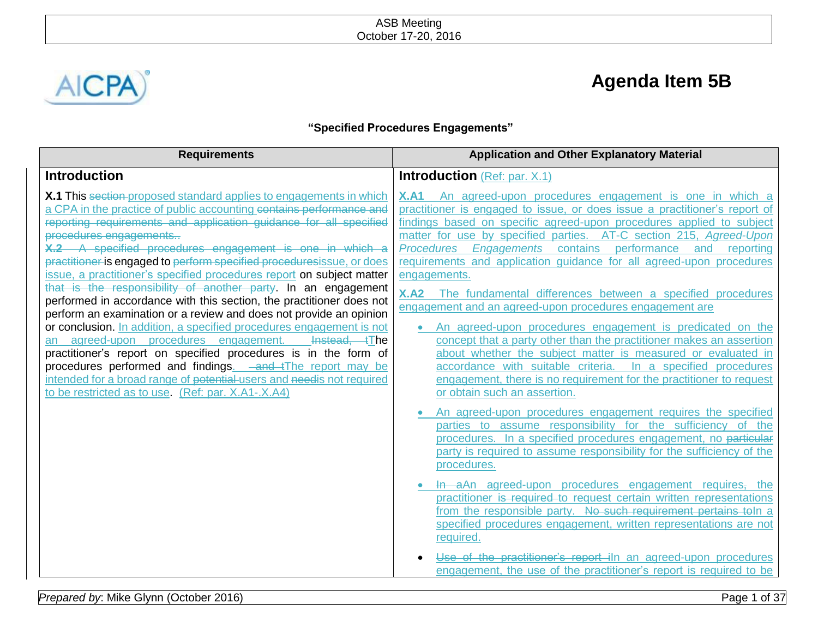

# **Agenda Item 5B**

# **"Specified Procedures Engagements"**

| <b>Requirements</b>                                                                                                                                                                                                                                                                                                                                                                                                                                                                                                                                                                                                                                                                                                                                                                                                                                                                                                                                                                                                                                                                | <b>Application and Other Explanatory Material</b>                                                                                                                                                                                                                                                                                                                                                                                                                                                                                                                                                                                                                                                                                                                                                                                                                                                                                                                                  |
|------------------------------------------------------------------------------------------------------------------------------------------------------------------------------------------------------------------------------------------------------------------------------------------------------------------------------------------------------------------------------------------------------------------------------------------------------------------------------------------------------------------------------------------------------------------------------------------------------------------------------------------------------------------------------------------------------------------------------------------------------------------------------------------------------------------------------------------------------------------------------------------------------------------------------------------------------------------------------------------------------------------------------------------------------------------------------------|------------------------------------------------------------------------------------------------------------------------------------------------------------------------------------------------------------------------------------------------------------------------------------------------------------------------------------------------------------------------------------------------------------------------------------------------------------------------------------------------------------------------------------------------------------------------------------------------------------------------------------------------------------------------------------------------------------------------------------------------------------------------------------------------------------------------------------------------------------------------------------------------------------------------------------------------------------------------------------|
| <b>Introduction</b>                                                                                                                                                                                                                                                                                                                                                                                                                                                                                                                                                                                                                                                                                                                                                                                                                                                                                                                                                                                                                                                                | Introduction (Ref: par. X.1)                                                                                                                                                                                                                                                                                                                                                                                                                                                                                                                                                                                                                                                                                                                                                                                                                                                                                                                                                       |
| X.1 This section proposed standard applies to engagements in which<br>a CPA in the practice of public accounting contains performance and<br>reporting requirements and application guidance for all specified<br>procedures engagements<br>X.2 A specified procedures engagement is one in which a<br>practitioner is engaged to perform specified proceduresissue, or does<br>issue, a practitioner's specified procedures report on subject matter<br>that is the responsibility of another party. In an engagement<br>performed in accordance with this section, the practitioner does not<br>perform an examination or a review and does not provide an opinion<br>or conclusion. In addition, a specified procedures engagement is not<br>agreed-upon procedures engagement.<br>Instead, tThe<br>an<br>practitioner's report on specified procedures is in the form of<br>procedures performed and findings. And the report may be<br>intended for a broad range of <del>potential</del> -users and needis not required<br>to be restricted as to use (Ref: par. X.A1-.X.A4) | <b>X.A1</b><br>An agreed-upon procedures engagement is one in which a<br>practitioner is engaged to issue, or does issue a practitioner's report of<br>findings based on specific agreed-upon procedures applied to subject<br>matter for use by specified parties. AT-C section 215, Agreed-Upon<br><b>Procedures</b> Engagements<br>contains<br>performance and<br>reporting<br>requirements and application guidance for all agreed-upon procedures<br>engagements.<br>X.A2 The fundamental differences between a specified procedures<br>engagement and an agreed-upon procedures engagement are<br>An agreed-upon procedures engagement is predicated on the<br>concept that a party other than the practitioner makes an assertion<br>about whether the subject matter is measured or evaluated in<br>accordance with suitable criteria.<br>In a specified procedures<br>engagement, there is no requirement for the practitioner to request<br>or obtain such an assertion. |
|                                                                                                                                                                                                                                                                                                                                                                                                                                                                                                                                                                                                                                                                                                                                                                                                                                                                                                                                                                                                                                                                                    | An agreed-upon procedures engagement requires the specified<br>parties to assume responsibility for the sufficiency of the<br>procedures. In a specified procedures engagement, no particular<br>party is required to assume responsibility for the sufficiency of the<br>procedures.<br>In a An agreed-upon procedures engagement requires, the<br>practitioner is required to request certain written representations<br>from the responsible party. No such requirement pertains toln a<br>specified procedures engagement, written representations are not<br>required.                                                                                                                                                                                                                                                                                                                                                                                                        |
|                                                                                                                                                                                                                                                                                                                                                                                                                                                                                                                                                                                                                                                                                                                                                                                                                                                                                                                                                                                                                                                                                    | Use of the practitioner's report iln an agreed-upon procedures<br>engagement, the use of the practitioner's report is required to be                                                                                                                                                                                                                                                                                                                                                                                                                                                                                                                                                                                                                                                                                                                                                                                                                                               |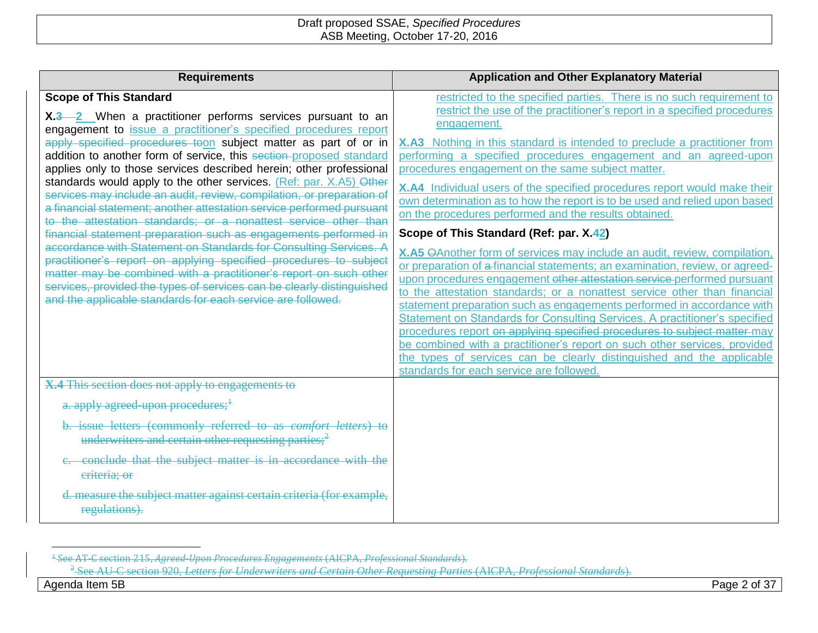| <b>Requirements</b>                                                                                                                                                                                                                                                                                                                                                                                                                                                                                                                                                                                                                                                                                                                                                                                                                                                                                                                                                                                                                                                                                                | <b>Application and Other Explanatory Material</b>                                                                                                                                                                                                                                                                                                                                                                                                                                                                                                                                                                                                                                                                                                                                                                                                                                                                                                                                                                                                                                                                                                                                                                                                                                                                                                                                                                  |
|--------------------------------------------------------------------------------------------------------------------------------------------------------------------------------------------------------------------------------------------------------------------------------------------------------------------------------------------------------------------------------------------------------------------------------------------------------------------------------------------------------------------------------------------------------------------------------------------------------------------------------------------------------------------------------------------------------------------------------------------------------------------------------------------------------------------------------------------------------------------------------------------------------------------------------------------------------------------------------------------------------------------------------------------------------------------------------------------------------------------|--------------------------------------------------------------------------------------------------------------------------------------------------------------------------------------------------------------------------------------------------------------------------------------------------------------------------------------------------------------------------------------------------------------------------------------------------------------------------------------------------------------------------------------------------------------------------------------------------------------------------------------------------------------------------------------------------------------------------------------------------------------------------------------------------------------------------------------------------------------------------------------------------------------------------------------------------------------------------------------------------------------------------------------------------------------------------------------------------------------------------------------------------------------------------------------------------------------------------------------------------------------------------------------------------------------------------------------------------------------------------------------------------------------------|
| <b>Scope of This Standard</b><br>X.3 <sub>2</sub> When a practitioner performs services pursuant to an<br>engagement to issue a practitioner's specified procedures report<br>apply specified procedures toon subject matter as part of or in<br>addition to another form of service, this section-proposed standard<br>applies only to those services described herein; other professional<br>standards would apply to the other services. (Ref: par. X.A5) Other<br>services may include an audit, review, compilation, or preparation of<br>a financial statement; another attestation service performed pursuant<br>to the attestation standards; or a nonattest service other than<br>financial statement preparation such as engagements performed in<br>accordance with Statement on Standards for Consulting Services. A<br>practitioner's report on applying specified procedures to subject<br>matter may be combined with a practitioner's report on such other<br>services, provided the types of services can be clearly distinguished<br>and the applicable standards for each service are followed. | restricted to the specified parties. There is no such requirement to<br>restrict the use of the practitioner's report in a specified procedures<br>engagement.<br><b>X.A3</b> Nothing in this standard is intended to preclude a practitioner from<br>performing a specified procedures engagement and an agreed-upon<br>procedures engagement on the same subject matter.<br>X.A4 Individual users of the specified procedures report would make their<br>own determination as to how the report is to be used and relied upon based<br>on the procedures performed and the results obtained.<br>Scope of This Standard (Ref: par. X.42)<br><b>X.A5</b> $\Theta$ Another form of services may include an audit, review, compilation,<br>or preparation of a-financial statements; an examination, review, or agreed-<br>upon procedures engagement other attestation service performed pursuant<br>to the attestation standards; or a nonattest service other than financial<br>statement preparation such as engagements performed in accordance with<br>Statement on Standards for Consulting Services. A practitioner's specified<br>procedures report on applying specified procedures to subject matter may<br>be combined with a practitioner's report on such other services, provided<br>the types of services can be clearly distinguished and the applicable<br>standards for each service are followed |
| <b>X.4</b> This section does not apply to engagements to                                                                                                                                                                                                                                                                                                                                                                                                                                                                                                                                                                                                                                                                                                                                                                                                                                                                                                                                                                                                                                                           |                                                                                                                                                                                                                                                                                                                                                                                                                                                                                                                                                                                                                                                                                                                                                                                                                                                                                                                                                                                                                                                                                                                                                                                                                                                                                                                                                                                                                    |
| a. apply agreed-upon procedures; <sup>1</sup>                                                                                                                                                                                                                                                                                                                                                                                                                                                                                                                                                                                                                                                                                                                                                                                                                                                                                                                                                                                                                                                                      |                                                                                                                                                                                                                                                                                                                                                                                                                                                                                                                                                                                                                                                                                                                                                                                                                                                                                                                                                                                                                                                                                                                                                                                                                                                                                                                                                                                                                    |
| b. issue letters (commonly referred to as <i>comfort letters</i> ) to<br>underwriters and certain other requesting parties; <sup>2</sup>                                                                                                                                                                                                                                                                                                                                                                                                                                                                                                                                                                                                                                                                                                                                                                                                                                                                                                                                                                           |                                                                                                                                                                                                                                                                                                                                                                                                                                                                                                                                                                                                                                                                                                                                                                                                                                                                                                                                                                                                                                                                                                                                                                                                                                                                                                                                                                                                                    |
| e. conclude that the subject matter is in accordance with the<br>eriteria; or                                                                                                                                                                                                                                                                                                                                                                                                                                                                                                                                                                                                                                                                                                                                                                                                                                                                                                                                                                                                                                      |                                                                                                                                                                                                                                                                                                                                                                                                                                                                                                                                                                                                                                                                                                                                                                                                                                                                                                                                                                                                                                                                                                                                                                                                                                                                                                                                                                                                                    |
| d. measure the subject matter against certain criteria (for example,<br>regulations).                                                                                                                                                                                                                                                                                                                                                                                                                                                                                                                                                                                                                                                                                                                                                                                                                                                                                                                                                                                                                              |                                                                                                                                                                                                                                                                                                                                                                                                                                                                                                                                                                                                                                                                                                                                                                                                                                                                                                                                                                                                                                                                                                                                                                                                                                                                                                                                                                                                                    |

Agenda Item 5B Page 2 of 37

 $\overline{a}$ 

<sup>1</sup> See AT-C section 215, *Agreed-Upon Procedures Engagements* (AICPA, *Professional Standards*).

<sup>2</sup> See AU-C section 920, *Letters for Underwriters and Certain Other Requesting Parties* (AICPA, *Professional Standards*).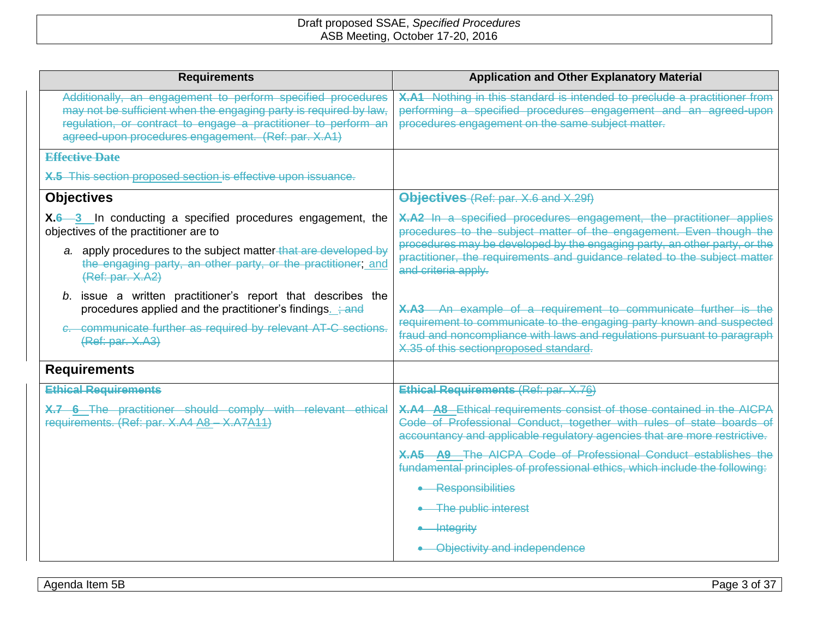| <b>Requirements</b>                                                                                                                                                                                                                                       | <b>Application and Other Explanatory Material</b>                                                                                                                                                                         |
|-----------------------------------------------------------------------------------------------------------------------------------------------------------------------------------------------------------------------------------------------------------|---------------------------------------------------------------------------------------------------------------------------------------------------------------------------------------------------------------------------|
| Additionally, an engagement to perform specified procedures<br>may not be sufficient when the engaging party is required by law,<br>regulation, or contract to engage a practitioner to perform an<br>agreed-upon procedures engagement. (Ref: par. X.A1) | X.A1 Nothing in this standard is intended to preclude a practitioner from<br>performing a specified procedures engagement and an agreed-upon<br>procedures engagement on the same subject matter.                         |
| <b>Effective Date</b>                                                                                                                                                                                                                                     |                                                                                                                                                                                                                           |
| X.5 This section proposed section is effective upon issuance.                                                                                                                                                                                             |                                                                                                                                                                                                                           |
| <b>Objectives</b>                                                                                                                                                                                                                                         | Objectives (Ref: par. X.6 and X.29f)                                                                                                                                                                                      |
| X.6 3 In conducting a specified procedures engagement, the<br>objectives of the practitioner are to                                                                                                                                                       | X.A2 In a specified procedures engagement, the practitioner applies<br>procedures to the subject matter of the engagement. Even though the                                                                                |
| a. apply procedures to the subject matter that are developed by<br>the engaging party, an other party, or the practitioner, and<br>(Ref: par. X.A2)                                                                                                       | procedures may be developed by the engaging party, an other party, or the<br>practitioner, the requirements and guidance related to the subject matter<br>and criteria apply.                                             |
| b. issue a written practitioner's report that describes the<br>procedures applied and the practitioner's findings. $\div$ and                                                                                                                             | X.A3 An example of a requirement to communicate further is the                                                                                                                                                            |
| c. communicate further as required by relevant AT-C sections.<br>(Ref: par. X.A3)                                                                                                                                                                         | requirement to communicate to the engaging party known and suspected<br>fraud and noncompliance with laws and regulations pursuant to paragraph<br>X.35 of this sectionproposed standard.                                 |
| <b>Requirements</b>                                                                                                                                                                                                                                       |                                                                                                                                                                                                                           |
| <b>Ethical Requirements</b>                                                                                                                                                                                                                               | Ethical Requirements (Ref: par. X.76)                                                                                                                                                                                     |
| X.7 6 The practitioner should comply with relevant ethical<br>requirements. (Ref: par. X.A4 A8 - X.A7A11)                                                                                                                                                 | X.A4 A8 Ethical requirements consist of those contained in the AICPA<br>Code of Professional Conduct, together with rules of state boards of<br>accountancy and applicable regulatory agencies that are more restrictive. |
|                                                                                                                                                                                                                                                           | X.A5 A9 The AICPA Code of Professional Conduct establishes the<br>fundamental principles of professional ethics, which include the following:                                                                             |
|                                                                                                                                                                                                                                                           | • Responsibilities                                                                                                                                                                                                        |
|                                                                                                                                                                                                                                                           | • The public interest                                                                                                                                                                                                     |
|                                                                                                                                                                                                                                                           | • Integrity                                                                                                                                                                                                               |
|                                                                                                                                                                                                                                                           | • Objectivity and independence                                                                                                                                                                                            |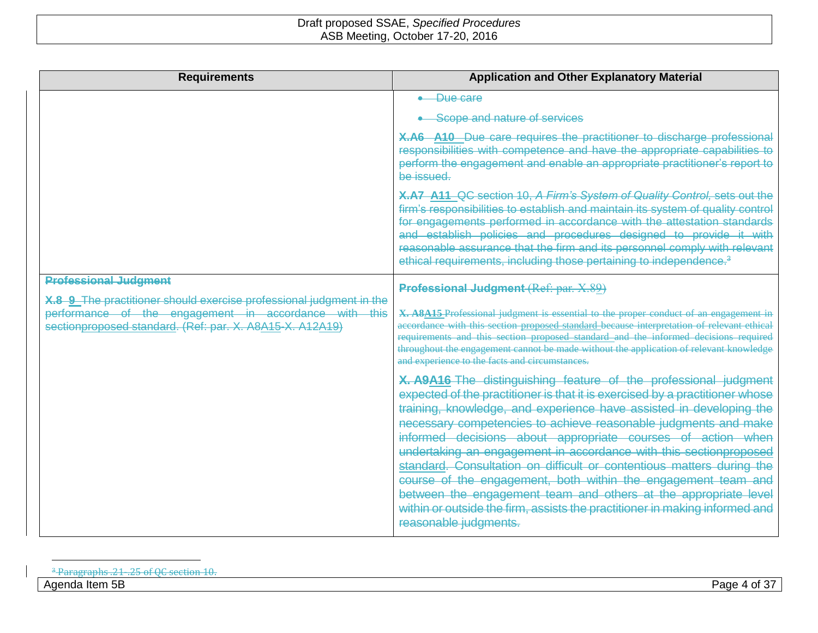| <b>Requirements</b>                                                                                                                                                                      | <b>Application and Other Explanatory Material</b>                                                                                                                                                                                                                                                                                                                                                                                                                                                                                                                                                                                                                                                                                                   |
|------------------------------------------------------------------------------------------------------------------------------------------------------------------------------------------|-----------------------------------------------------------------------------------------------------------------------------------------------------------------------------------------------------------------------------------------------------------------------------------------------------------------------------------------------------------------------------------------------------------------------------------------------------------------------------------------------------------------------------------------------------------------------------------------------------------------------------------------------------------------------------------------------------------------------------------------------------|
|                                                                                                                                                                                          | Due care                                                                                                                                                                                                                                                                                                                                                                                                                                                                                                                                                                                                                                                                                                                                            |
|                                                                                                                                                                                          | • Scope and nature of services                                                                                                                                                                                                                                                                                                                                                                                                                                                                                                                                                                                                                                                                                                                      |
|                                                                                                                                                                                          | X.A6 A10 Due care requires the practitioner to discharge professional<br>responsibilities with competence and have the appropriate capabilities to<br>perform the engagement and enable an appropriate practitioner's report to<br>be issued.                                                                                                                                                                                                                                                                                                                                                                                                                                                                                                       |
|                                                                                                                                                                                          | X.A7 A11 QC section 10, A Firm's System of Quality Control, sets out the<br>firm's responsibilities to establish and maintain its system of quality control<br>for engagements performed in accordance with the attestation standards<br>and establish policies and procedures designed to provide it with<br>reasonable assurance that the firm and its personnel comply with relevant<br>ethical requirements, including those pertaining to independence. <sup>3</sup>                                                                                                                                                                                                                                                                           |
| <b>Professional Judgment</b>                                                                                                                                                             | Professional Judgment (Ref: par. X.89)                                                                                                                                                                                                                                                                                                                                                                                                                                                                                                                                                                                                                                                                                                              |
| X.8 9 The practitioner should exercise professional judgment in the<br>performance of the engagement in accordance with this<br>sectionproposed standard. (Ref: par. X. A8A15-X. A12A19) | X. A8A15 Professional judgment is essential to the proper conduct of an engagement in<br>accordance with this section proposed standard because interpretation of relevant ethical<br>requirements and this section proposed standard and the informed decisions required<br>throughout the engagement cannot be made without the application of relevant knowledge<br>and experience to the facts and circumstances.                                                                                                                                                                                                                                                                                                                               |
|                                                                                                                                                                                          | X. A9A16 The distinguishing feature of the professional judgment<br>expected of the practitioner is that it is exercised by a practitioner whose<br>training, knowledge, and experience have assisted in developing the<br>necessary competencies to achieve reasonable judgments and make<br>informed decisions about appropriate courses of action when<br>undertaking an engagement in accordance with this sectionproposed<br>standard. Consultation on difficult or contentious matters during the<br>course of the engagement, both within the engagement team and<br>between the engagement team and others at the appropriate level<br>within or outside the firm, assists the practitioner in making informed and<br>reasonable judgments. |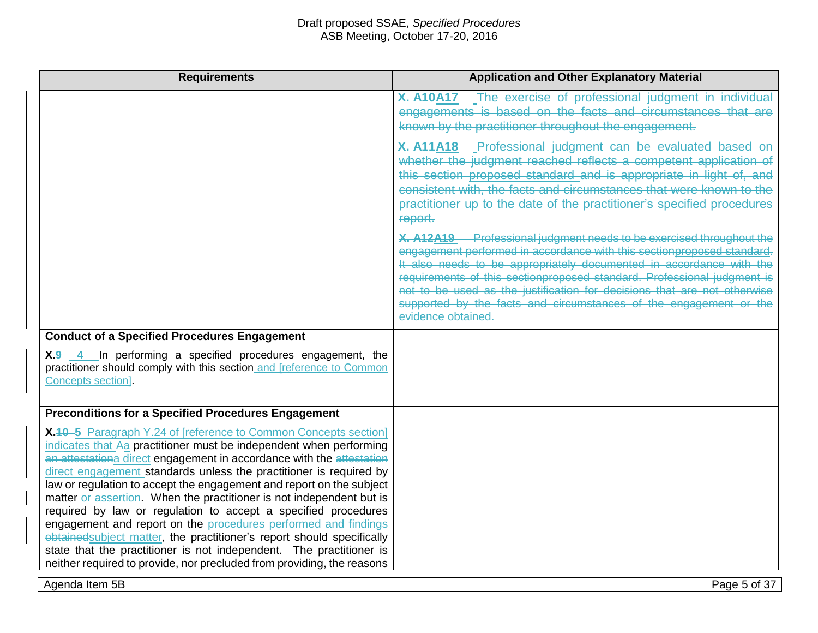| <b>Requirements</b>                                                                                                                                                                                                                                                                                                                                                                                                                                                                                                                                                                                                                                                                                                                                                                                | <b>Application and Other Explanatory Material</b>                                                                                                                                                                                                                                                                                                                                                                                                                       |
|----------------------------------------------------------------------------------------------------------------------------------------------------------------------------------------------------------------------------------------------------------------------------------------------------------------------------------------------------------------------------------------------------------------------------------------------------------------------------------------------------------------------------------------------------------------------------------------------------------------------------------------------------------------------------------------------------------------------------------------------------------------------------------------------------|-------------------------------------------------------------------------------------------------------------------------------------------------------------------------------------------------------------------------------------------------------------------------------------------------------------------------------------------------------------------------------------------------------------------------------------------------------------------------|
|                                                                                                                                                                                                                                                                                                                                                                                                                                                                                                                                                                                                                                                                                                                                                                                                    | X. A10A17 The exercise of professional judgment in individual<br>engagements is based on the facts and circumstances that are<br>known by the practitioner throughout the engagement.                                                                                                                                                                                                                                                                                   |
|                                                                                                                                                                                                                                                                                                                                                                                                                                                                                                                                                                                                                                                                                                                                                                                                    | X. A11A18 Professional judgment can be evaluated based on<br>whether the judgment reached reflects a competent application of<br>this section proposed standard and is appropriate in light of, and<br>consistent with, the facts and circumstances that were known to the<br>practitioner up to the date of the practitioner's specified procedures<br>report.                                                                                                         |
|                                                                                                                                                                                                                                                                                                                                                                                                                                                                                                                                                                                                                                                                                                                                                                                                    | X. A12A19 Professional judgment needs to be exercised throughout the<br>engagement performed in accordance with this sectionproposed standard.<br>It also needs to be appropriately documented in accordance with the<br>requirements of this sectionproposed standard. Professional judgment is<br>not to be used as the justification for decisions that are not otherwise<br>supported by the facts and circumstances of the engagement or the<br>evidence obtained. |
| <b>Conduct of a Specified Procedures Engagement</b>                                                                                                                                                                                                                                                                                                                                                                                                                                                                                                                                                                                                                                                                                                                                                |                                                                                                                                                                                                                                                                                                                                                                                                                                                                         |
| X.9 4 In performing a specified procedures engagement, the<br>practitioner should comply with this section and [reference to Common<br>Concepts section].                                                                                                                                                                                                                                                                                                                                                                                                                                                                                                                                                                                                                                          |                                                                                                                                                                                                                                                                                                                                                                                                                                                                         |
| <b>Preconditions for a Specified Procedures Engagement</b>                                                                                                                                                                                                                                                                                                                                                                                                                                                                                                                                                                                                                                                                                                                                         |                                                                                                                                                                                                                                                                                                                                                                                                                                                                         |
| X.40-5 Paragraph Y.24 of [reference to Common Concepts section]<br>indicates that Aa practitioner must be independent when performing<br>an attestationa direct engagement in accordance with the attestation<br>direct engagement standards unless the practitioner is required by<br>law or regulation to accept the engagement and report on the subject<br>matter-or assertion. When the practitioner is not independent but is<br>required by law or regulation to accept a specified procedures<br>engagement and report on the procedures performed and findings<br>obtained subject matter, the practitioner's report should specifically<br>state that the practitioner is not independent. The practitioner is<br>neither required to provide, nor precluded from providing, the reasons |                                                                                                                                                                                                                                                                                                                                                                                                                                                                         |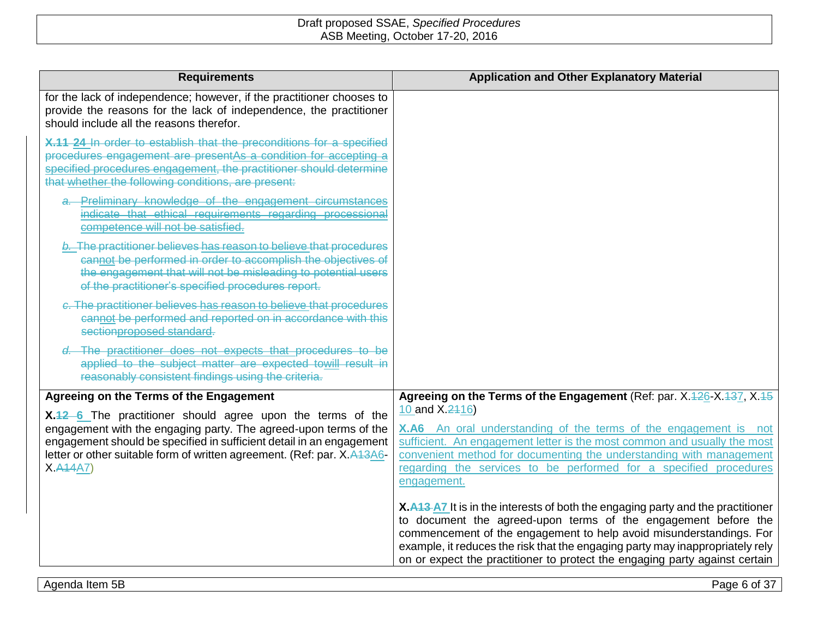| <b>Requirements</b>                                                                                                                                                                                                                                                                          | <b>Application and Other Explanatory Material</b>                                                                                                                                                                                                                                                                                                                                         |
|----------------------------------------------------------------------------------------------------------------------------------------------------------------------------------------------------------------------------------------------------------------------------------------------|-------------------------------------------------------------------------------------------------------------------------------------------------------------------------------------------------------------------------------------------------------------------------------------------------------------------------------------------------------------------------------------------|
| for the lack of independence; however, if the practitioner chooses to<br>provide the reasons for the lack of independence, the practitioner<br>should include all the reasons therefor.                                                                                                      |                                                                                                                                                                                                                                                                                                                                                                                           |
| X.11 24 In order to establish that the preconditions for a specified<br>procedures engagement are presentAs a condition for accepting a<br>specified procedures engagement, the practitioner should determine<br>that whether the following conditions, are present:                         |                                                                                                                                                                                                                                                                                                                                                                                           |
| a. Preliminary knowledge of the engagement circumstances<br>indicate that ethical requirements regarding processional<br>competence will not be satisfied.                                                                                                                                   |                                                                                                                                                                                                                                                                                                                                                                                           |
| b. The practitioner believes has reason to believe that procedures<br>cannot be performed in order to accomplish the objectives of<br>the engagement that will not be misleading to potential users<br>of the practitioner's specified procedures report.                                    |                                                                                                                                                                                                                                                                                                                                                                                           |
| c. The practitioner believes has reason to believe that procedures<br>cannot be performed and reported on in accordance with this<br>sectionproposed standard.                                                                                                                               |                                                                                                                                                                                                                                                                                                                                                                                           |
| d. The practitioner does not expects that procedures to be<br>applied to the subject matter are expected towill result in<br>reasonably consistent findings using the criteria.                                                                                                              |                                                                                                                                                                                                                                                                                                                                                                                           |
| Agreeing on the Terms of the Engagement                                                                                                                                                                                                                                                      | Agreeing on the Terms of the Engagement (Ref: par. X. 126-X. 137, X. 15<br>10 and X.2416)                                                                                                                                                                                                                                                                                                 |
| X.12 6 The practitioner should agree upon the terms of the<br>engagement with the engaging party. The agreed-upon terms of the<br>engagement should be specified in sufficient detail in an engagement<br>letter or other suitable form of written agreement. (Ref: par. X A13A6-<br>X.A14A7 | X.A6 An oral understanding of the terms of the engagement is not<br>sufficient. An engagement letter is the most common and usually the most<br>convenient method for documenting the understanding with management<br>regarding the services to be performed for a specified procedures<br>engagement.                                                                                   |
|                                                                                                                                                                                                                                                                                              | X. A13-A7 It is in the interests of both the engaging party and the practitioner<br>to document the agreed-upon terms of the engagement before the<br>commencement of the engagement to help avoid misunderstandings. For<br>example, it reduces the risk that the engaging party may inappropriately rely<br>on or expect the practitioner to protect the engaging party against certain |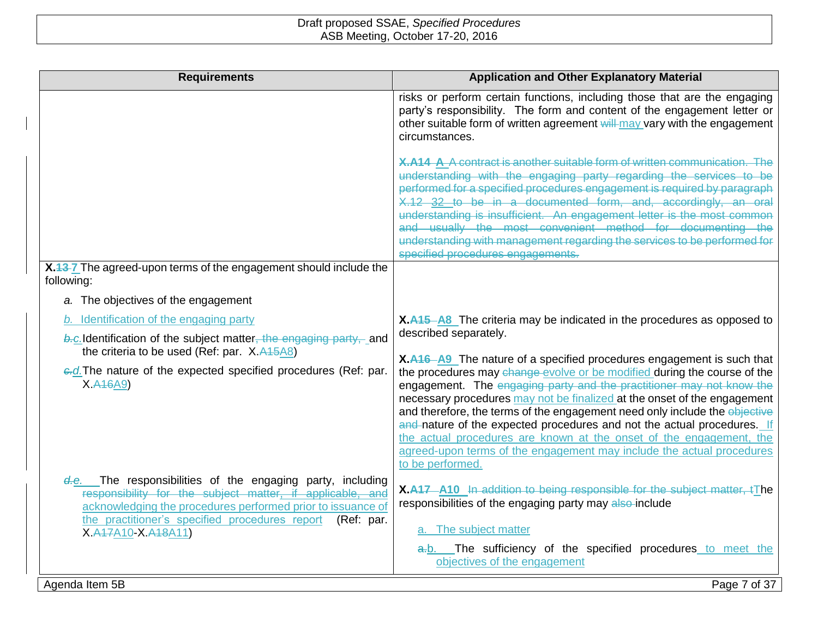| <b>Requirements</b>                                                                                                                                                                    | <b>Application and Other Explanatory Material</b>                                                                                                                                                                                                                                                                                                                                                                                                                                                                                                                                                                                  |
|----------------------------------------------------------------------------------------------------------------------------------------------------------------------------------------|------------------------------------------------------------------------------------------------------------------------------------------------------------------------------------------------------------------------------------------------------------------------------------------------------------------------------------------------------------------------------------------------------------------------------------------------------------------------------------------------------------------------------------------------------------------------------------------------------------------------------------|
|                                                                                                                                                                                        | risks or perform certain functions, including those that are the engaging<br>party's responsibility. The form and content of the engagement letter or<br>other suitable form of written agreement will may vary with the engagement<br>circumstances.                                                                                                                                                                                                                                                                                                                                                                              |
|                                                                                                                                                                                        | X.A14 A A contract is another suitable form of written communication. The<br>understanding with the engaging party regarding the services to be<br>performed for a specified procedures engagement is required by paragraph<br>X.12 32_to be in a documented form, and, accordingly, an oral<br>understanding is insufficient. An engagement letter is the most common<br>and usually the most convenient method for documenting the<br>understanding with management regarding the services to be performed for<br>specified procedures engagements.                                                                              |
| X.43-7 The agreed-upon terms of the engagement should include the<br>following:                                                                                                        |                                                                                                                                                                                                                                                                                                                                                                                                                                                                                                                                                                                                                                    |
| a. The objectives of the engagement                                                                                                                                                    |                                                                                                                                                                                                                                                                                                                                                                                                                                                                                                                                                                                                                                    |
| b. Identification of the engaging party                                                                                                                                                | X.A15 A8 The criteria may be indicated in the procedures as opposed to                                                                                                                                                                                                                                                                                                                                                                                                                                                                                                                                                             |
| $\frac{b}{c}$ . Identification of the subject matter, the engaging party, and<br>the criteria to be used (Ref: par. X.A15A8)                                                           | described separately.                                                                                                                                                                                                                                                                                                                                                                                                                                                                                                                                                                                                              |
| ed. The nature of the expected specified procedures (Ref: par.<br>X.A <sub>16</sub> A9)                                                                                                | X.A16 A9 The nature of a specified procedures engagement is such that<br>the procedures may change evolve or be modified during the course of the<br>engagement. The engaging party and the practitioner may not know the<br>necessary procedures may not be finalized at the onset of the engagement<br>and therefore, the terms of the engagement need only include the objective<br>and nature of the expected procedures and not the actual procedures. If<br>the actual procedures are known at the onset of the engagement, the<br>agreed-upon terms of the engagement may include the actual procedures<br>to be performed. |
| e.e. The responsibilities of the engaging party, including<br>responsibility for the subject matter, if applicable, and<br>acknowledging the procedures performed prior to issuance of | X.A17 A10 In addition to being responsible for the subject matter, tThe<br>responsibilities of the engaging party may also include                                                                                                                                                                                                                                                                                                                                                                                                                                                                                                 |
| the practitioner's specified procedures report<br>(Ref: par.<br>X.A17A10-X.A18A11)                                                                                                     | a. The subject matter                                                                                                                                                                                                                                                                                                                                                                                                                                                                                                                                                                                                              |
|                                                                                                                                                                                        | a.b. The sufficiency of the specified procedures to meet the<br>objectives of the engagement                                                                                                                                                                                                                                                                                                                                                                                                                                                                                                                                       |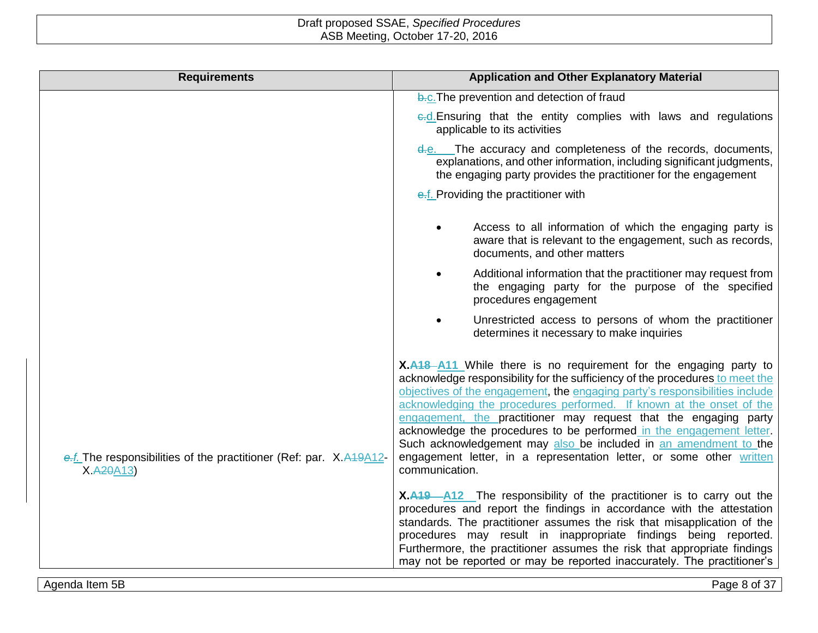| <b>Requirements</b>                                                             | <b>Application and Other Explanatory Material</b>                                                                                                                                                                                                                                                                                                                                                                                                                                                                                                                                                                  |
|---------------------------------------------------------------------------------|--------------------------------------------------------------------------------------------------------------------------------------------------------------------------------------------------------------------------------------------------------------------------------------------------------------------------------------------------------------------------------------------------------------------------------------------------------------------------------------------------------------------------------------------------------------------------------------------------------------------|
|                                                                                 | b.c. The prevention and detection of fraud                                                                                                                                                                                                                                                                                                                                                                                                                                                                                                                                                                         |
|                                                                                 | e.d. Ensuring that the entity complies with laws and regulations<br>applicable to its activities                                                                                                                                                                                                                                                                                                                                                                                                                                                                                                                   |
|                                                                                 | e.e. The accuracy and completeness of the records, documents,<br>explanations, and other information, including significant judgments,<br>the engaging party provides the practitioner for the engagement                                                                                                                                                                                                                                                                                                                                                                                                          |
|                                                                                 | e.f. Providing the practitioner with                                                                                                                                                                                                                                                                                                                                                                                                                                                                                                                                                                               |
|                                                                                 | Access to all information of which the engaging party is<br>aware that is relevant to the engagement, such as records,<br>documents, and other matters                                                                                                                                                                                                                                                                                                                                                                                                                                                             |
|                                                                                 | Additional information that the practitioner may request from<br>the engaging party for the purpose of the specified<br>procedures engagement                                                                                                                                                                                                                                                                                                                                                                                                                                                                      |
|                                                                                 | Unrestricted access to persons of whom the practitioner<br>determines it necessary to make inquiries                                                                                                                                                                                                                                                                                                                                                                                                                                                                                                               |
| e.f. The responsibilities of the practitioner (Ref: par. X.A19A12-<br>X.A20A13) | X.A18 A11 While there is no requirement for the engaging party to<br>acknowledge responsibility for the sufficiency of the procedures to meet the<br>objectives of the engagement, the engaging party's responsibilities include<br>acknowledging the procedures performed. If known at the onset of the<br>engagement, the practitioner may request that the engaging party<br>acknowledge the procedures to be performed in the engagement letter.<br>Such acknowledgement may also be included in an amendment to the<br>engagement letter, in a representation letter, or some other written<br>communication. |
|                                                                                 | X.419 A12 The responsibility of the practitioner is to carry out the<br>procedures and report the findings in accordance with the attestation<br>standards. The practitioner assumes the risk that misapplication of the<br>procedures may result in inappropriate findings being reported.<br>Furthermore, the practitioner assumes the risk that appropriate findings<br>may not be reported or may be reported inaccurately. The practitioner's                                                                                                                                                                 |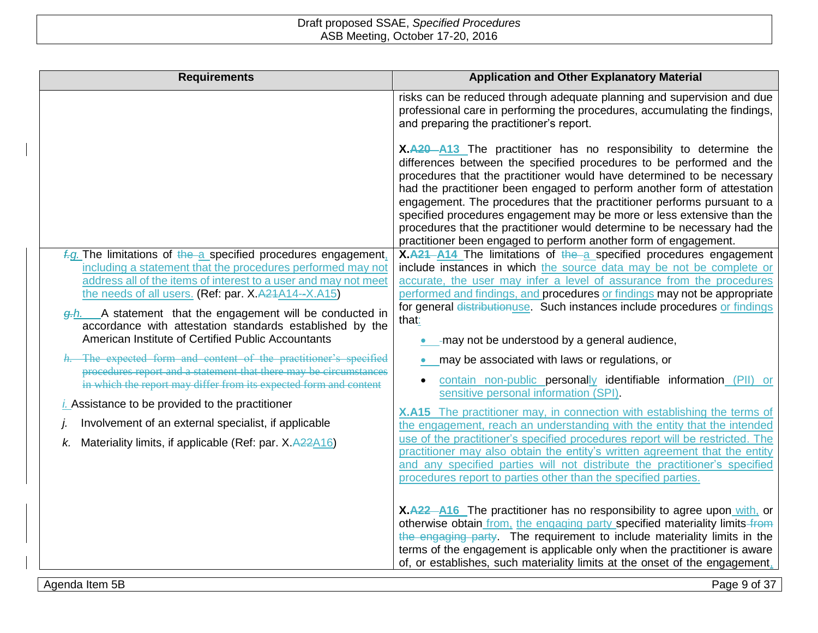| <b>Requirements</b>                                                                                                                                                                                                                                                                                                                                                                           | <b>Application and Other Explanatory Material</b>                                                                                                                                                                                                                                                                                                                                                                                                                                                                                                                                                    |
|-----------------------------------------------------------------------------------------------------------------------------------------------------------------------------------------------------------------------------------------------------------------------------------------------------------------------------------------------------------------------------------------------|------------------------------------------------------------------------------------------------------------------------------------------------------------------------------------------------------------------------------------------------------------------------------------------------------------------------------------------------------------------------------------------------------------------------------------------------------------------------------------------------------------------------------------------------------------------------------------------------------|
|                                                                                                                                                                                                                                                                                                                                                                                               | risks can be reduced through adequate planning and supervision and due<br>professional care in performing the procedures, accumulating the findings,<br>and preparing the practitioner's report.                                                                                                                                                                                                                                                                                                                                                                                                     |
|                                                                                                                                                                                                                                                                                                                                                                                               | X.A20 A13 The practitioner has no responsibility to determine the<br>differences between the specified procedures to be performed and the<br>procedures that the practitioner would have determined to be necessary<br>had the practitioner been engaged to perform another form of attestation<br>engagement. The procedures that the practitioner performs pursuant to a<br>specified procedures engagement may be more or less extensive than the<br>procedures that the practitioner would determine to be necessary had the<br>practitioner been engaged to perform another form of engagement. |
| $f_{\rm g}g$ . The limitations of the a specified procedures engagement.<br>including a statement that the procedures performed may not<br>address all of the items of interest to a user and may not meet<br>the needs of all users. (Ref: par. X.A21A14--X.A15)<br>$g-h$ . A statement that the engagement will be conducted in<br>accordance with attestation standards established by the | X.A21 A14 The limitations of the a specified procedures engagement<br>include instances in which the source data may be not be complete or<br>accurate, the user may infer a level of assurance from the procedures<br>performed and findings, and procedures or findings may not be appropriate<br>for general distributionuse. Such instances include procedures or findings<br>that:                                                                                                                                                                                                              |
| American Institute of Certified Public Accountants<br>The expected form and content of the practitioner's specified                                                                                                                                                                                                                                                                           | may not be understood by a general audience,                                                                                                                                                                                                                                                                                                                                                                                                                                                                                                                                                         |
| procedures report and a statement that there may be circumstances<br>in which the report may differ from its expected form and content<br><i>i</i> . Assistance to be provided to the practitioner                                                                                                                                                                                            | may be associated with laws or regulations, or<br>contain non-public personally identifiable information (PII) or<br>$\bullet$<br>sensitive personal information (SPI).<br><b>X.A15</b> The practitioner may, in connection with establishing the terms of                                                                                                                                                                                                                                                                                                                                           |
| Involvement of an external specialist, if applicable<br>Materiality limits, if applicable (Ref: par. X.A22A16)                                                                                                                                                                                                                                                                                | the engagement, reach an understanding with the entity that the intended<br>use of the practitioner's specified procedures report will be restricted. The<br>practitioner may also obtain the entity's written agreement that the entity<br>and any specified parties will not distribute the practitioner's specified<br>procedures report to parties other than the specified parties.                                                                                                                                                                                                             |
|                                                                                                                                                                                                                                                                                                                                                                                               | X.A22 A16 The practitioner has no responsibility to agree upon with, or<br>otherwise obtain from, the engaging party specified materiality limits from<br>the engaging party. The requirement to include materiality limits in the<br>terms of the engagement is applicable only when the practitioner is aware<br>of, or establishes, such materiality limits at the onset of the engagement,                                                                                                                                                                                                       |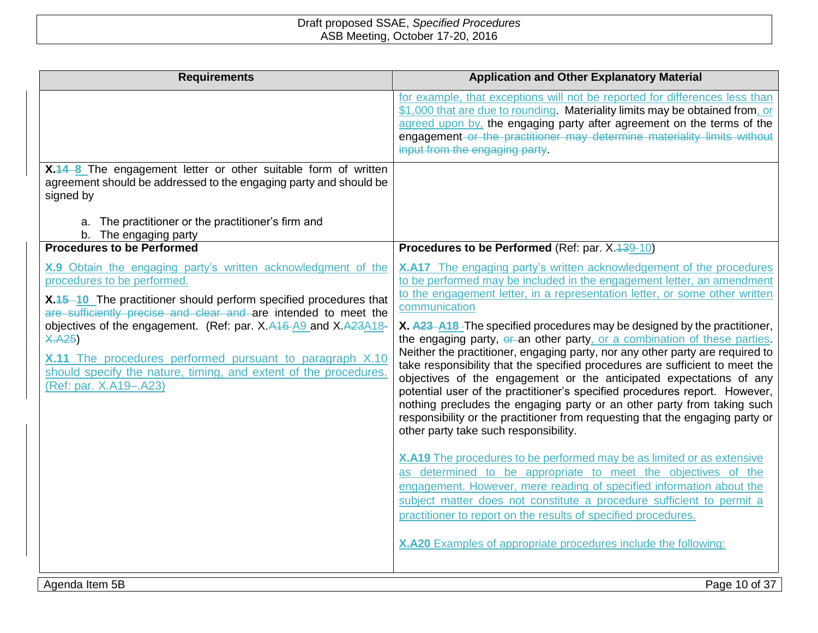| <b>Requirements</b>                                                                                                                                                                                                                                                                                                                                                                                                                                                        | <b>Application and Other Explanatory Material</b>                                                                                                                                                                                                                                                                                                                                                                                                                                                                                                                                                                                                                                                                                                                                                                                                                                                                                         |
|----------------------------------------------------------------------------------------------------------------------------------------------------------------------------------------------------------------------------------------------------------------------------------------------------------------------------------------------------------------------------------------------------------------------------------------------------------------------------|-------------------------------------------------------------------------------------------------------------------------------------------------------------------------------------------------------------------------------------------------------------------------------------------------------------------------------------------------------------------------------------------------------------------------------------------------------------------------------------------------------------------------------------------------------------------------------------------------------------------------------------------------------------------------------------------------------------------------------------------------------------------------------------------------------------------------------------------------------------------------------------------------------------------------------------------|
|                                                                                                                                                                                                                                                                                                                                                                                                                                                                            | for example, that exceptions will not be reported for differences less than<br>\$1,000 that are due to rounding. Materiality limits may be obtained from, or<br>agreed upon by, the engaging party after agreement on the terms of the<br>engagement or the practitioner may determine materiality limits without<br>input from the engaging party.                                                                                                                                                                                                                                                                                                                                                                                                                                                                                                                                                                                       |
| X.44-8 The engagement letter or other suitable form of written<br>agreement should be addressed to the engaging party and should be<br>signed by                                                                                                                                                                                                                                                                                                                           |                                                                                                                                                                                                                                                                                                                                                                                                                                                                                                                                                                                                                                                                                                                                                                                                                                                                                                                                           |
| a. The practitioner or the practitioner's firm and<br>b. The engaging party                                                                                                                                                                                                                                                                                                                                                                                                |                                                                                                                                                                                                                                                                                                                                                                                                                                                                                                                                                                                                                                                                                                                                                                                                                                                                                                                                           |
| <b>Procedures to be Performed</b>                                                                                                                                                                                                                                                                                                                                                                                                                                          | Procedures to be Performed (Ref: par. X.439-10)                                                                                                                                                                                                                                                                                                                                                                                                                                                                                                                                                                                                                                                                                                                                                                                                                                                                                           |
| X.9 Obtain the engaging party's written acknowledgment of the<br>procedures to be performed.<br>X.45-10 The practitioner should perform specified procedures that<br>are sufficiently precise and clear and are intended to meet the<br>objectives of the engagement. (Ref: par. X.A16-A9 and X.A23A18-<br>X.A25<br>X.11 The procedures performed pursuant to paragraph X.10<br>should specify the nature, timing, and extent of the procedures.<br>(Ref: par. X.A19-.A23) | <b>X.A17</b> The engaging party's written acknowledgement of the procedures<br>to be performed may be included in the engagement letter, an amendment<br>to the engagement letter, in a representation letter, or some other written<br>communication<br>X. A23-A18-The specified procedures may be designed by the practitioner,<br>the engaging party, or an other party, or a combination of these parties.<br>Neither the practitioner, engaging party, nor any other party are required to<br>take responsibility that the specified procedures are sufficient to meet the<br>objectives of the engagement or the anticipated expectations of any<br>potential user of the practitioner's specified procedures report. However,<br>nothing precludes the engaging party or an other party from taking such<br>responsibility or the practitioner from requesting that the engaging party or<br>other party take such responsibility. |
|                                                                                                                                                                                                                                                                                                                                                                                                                                                                            | <b>X.A19</b> The procedures to be performed may be as limited or as extensive<br>as determined to be appropriate to meet the objectives of the<br>engagement. However, mere reading of specified information about the<br>subject matter does not constitute a procedure sufficient to permit a<br>practitioner to report on the results of specified procedures.<br>X.A20 Examples of appropriate procedures include the following:                                                                                                                                                                                                                                                                                                                                                                                                                                                                                                      |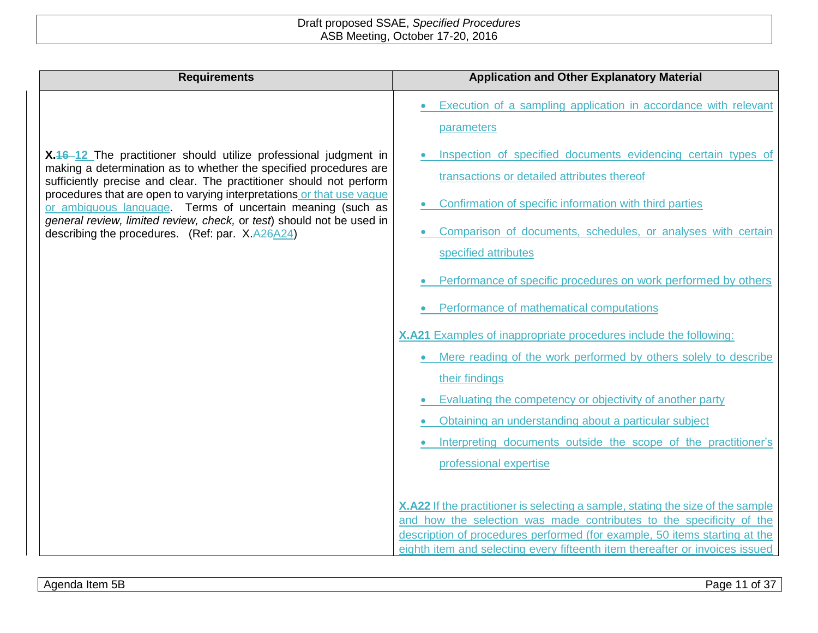| <b>Requirements</b>                                                                                                                      | <b>Application and Other Explanatory Material</b>                                                                                                  |
|------------------------------------------------------------------------------------------------------------------------------------------|----------------------------------------------------------------------------------------------------------------------------------------------------|
|                                                                                                                                          | Execution of a sampling application in accordance with relevant                                                                                    |
|                                                                                                                                          | parameters                                                                                                                                         |
| X.46-12 The practitioner should utilize professional judgment in                                                                         | Inspection of specified documents evidencing certain types of                                                                                      |
| making a determination as to whether the specified procedures are<br>sufficiently precise and clear. The practitioner should not perform | transactions or detailed attributes thereof                                                                                                        |
| procedures that are open to varying interpretations or that use vague<br>or ambiguous language. Terms of uncertain meaning (such as      | Confirmation of specific information with third parties                                                                                            |
| general review, limited review, check, or test) should not be used in<br>describing the procedures. (Ref: par. X.A26A24)                 | Comparison of documents, schedules, or analyses with certain                                                                                       |
|                                                                                                                                          | specified attributes                                                                                                                               |
|                                                                                                                                          | Performance of specific procedures on work performed by others                                                                                     |
|                                                                                                                                          | • Performance of mathematical computations                                                                                                         |
|                                                                                                                                          | X.A21 Examples of inappropriate procedures include the following:                                                                                  |
|                                                                                                                                          | Mere reading of the work performed by others solely to describe<br>$\bullet$                                                                       |
|                                                                                                                                          | their findings                                                                                                                                     |
|                                                                                                                                          | Evaluating the competency or objectivity of another party                                                                                          |
|                                                                                                                                          | Obtaining an understanding about a particular subject                                                                                              |
|                                                                                                                                          | Interpreting documents outside the scope of the practitioner's                                                                                     |
|                                                                                                                                          | professional expertise                                                                                                                             |
|                                                                                                                                          |                                                                                                                                                    |
|                                                                                                                                          | <b>X.A22</b> If the practitioner is selecting a sample, stating the size of the sample                                                             |
|                                                                                                                                          | and how the selection was made contributes to the specificity of the<br>description of procedures performed (for example, 50 items starting at the |
|                                                                                                                                          | eighth item and selecting every fifteenth item thereafter or invoices issued                                                                       |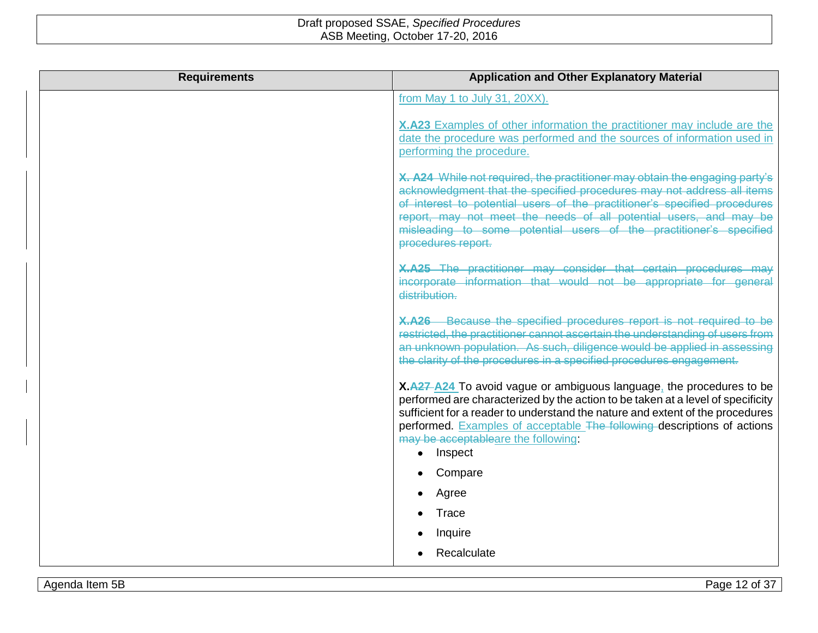| <b>Requirements</b> | <b>Application and Other Explanatory Material</b>                                                                                                                                                                                                                                                                                                                                                   |
|---------------------|-----------------------------------------------------------------------------------------------------------------------------------------------------------------------------------------------------------------------------------------------------------------------------------------------------------------------------------------------------------------------------------------------------|
|                     | from May 1 to July 31, 20XX).                                                                                                                                                                                                                                                                                                                                                                       |
|                     | X.A23 Examples of other information the practitioner may include are the<br>date the procedure was performed and the sources of information used in<br>performing the procedure.                                                                                                                                                                                                                    |
|                     | X. A24 While not required, the practitioner may obtain the engaging party's<br>acknowledgment that the specified procedures may not address all items<br>of interest to potential users of the practitioner's specified procedures<br>report, may not meet the needs of all potential users, and may be<br>misleading to some potential users of the practitioner's specified<br>procedures report. |
|                     | <b>X.A25</b> The practitioner may consider that certain procedures may<br>incorporate information that would not be appropriate for general<br>distribution.                                                                                                                                                                                                                                        |
|                     | X.A26 Because the specified procedures report is not required to be<br>restricted, the practitioner cannot ascertain the understanding of users from<br>an unknown population. As such, diligence would be applied in assessing<br>the clarity of the procedures in a specified procedures engagement.                                                                                              |
|                     | X.A27 A24 To avoid vague or ambiguous language, the procedures to be<br>performed are characterized by the action to be taken at a level of specificity<br>sufficient for a reader to understand the nature and extent of the procedures<br>performed. Examples of acceptable The following descriptions of actions<br>may be acceptable are the following:<br>Inspect                              |
|                     | Compare                                                                                                                                                                                                                                                                                                                                                                                             |
|                     | Agree                                                                                                                                                                                                                                                                                                                                                                                               |
|                     | Trace                                                                                                                                                                                                                                                                                                                                                                                               |
|                     | Inquire                                                                                                                                                                                                                                                                                                                                                                                             |
|                     | Recalculate                                                                                                                                                                                                                                                                                                                                                                                         |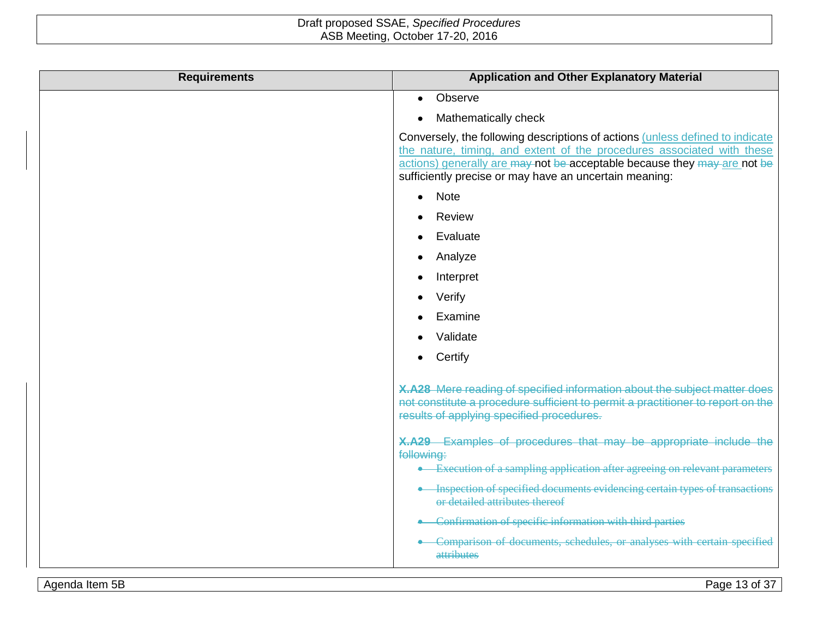| <b>Requirements</b> | <b>Application and Other Explanatory Material</b>                                                                                                                                                                                                                                             |  |
|---------------------|-----------------------------------------------------------------------------------------------------------------------------------------------------------------------------------------------------------------------------------------------------------------------------------------------|--|
|                     | Observe                                                                                                                                                                                                                                                                                       |  |
|                     | Mathematically check                                                                                                                                                                                                                                                                          |  |
|                     | Conversely, the following descriptions of actions (unless defined to indicate<br>the nature, timing, and extent of the procedures associated with these<br>actions) generally are may not be acceptable because they may are not be<br>sufficiently precise or may have an uncertain meaning: |  |
|                     | <b>Note</b><br>ė                                                                                                                                                                                                                                                                              |  |
|                     | <b>Review</b>                                                                                                                                                                                                                                                                                 |  |
|                     | Evaluate                                                                                                                                                                                                                                                                                      |  |
|                     | Analyze                                                                                                                                                                                                                                                                                       |  |
|                     | Interpret                                                                                                                                                                                                                                                                                     |  |
|                     | Verify                                                                                                                                                                                                                                                                                        |  |
|                     | Examine                                                                                                                                                                                                                                                                                       |  |
|                     | Validate                                                                                                                                                                                                                                                                                      |  |
|                     | Certify                                                                                                                                                                                                                                                                                       |  |
|                     | X.A28 Mere reading of specified information about the subject matter does<br>not constitute a procedure sufficient to permit a practitioner to report on the<br>results of applying specified procedures.                                                                                     |  |
|                     | <b>X.A29</b> Examples of procedures that may be appropriate include the<br>following:                                                                                                                                                                                                         |  |
|                     | • Execution of a sampling application after agreeing on relevant parameters                                                                                                                                                                                                                   |  |
|                     | • Inspection of specified documents evidencing certain types of transactions<br>or detailed attributes thereof                                                                                                                                                                                |  |
|                     | Confirmation of specific information with third parties                                                                                                                                                                                                                                       |  |
|                     | • Comparison of documents, schedules, or analyses with certain specified<br>attributes                                                                                                                                                                                                        |  |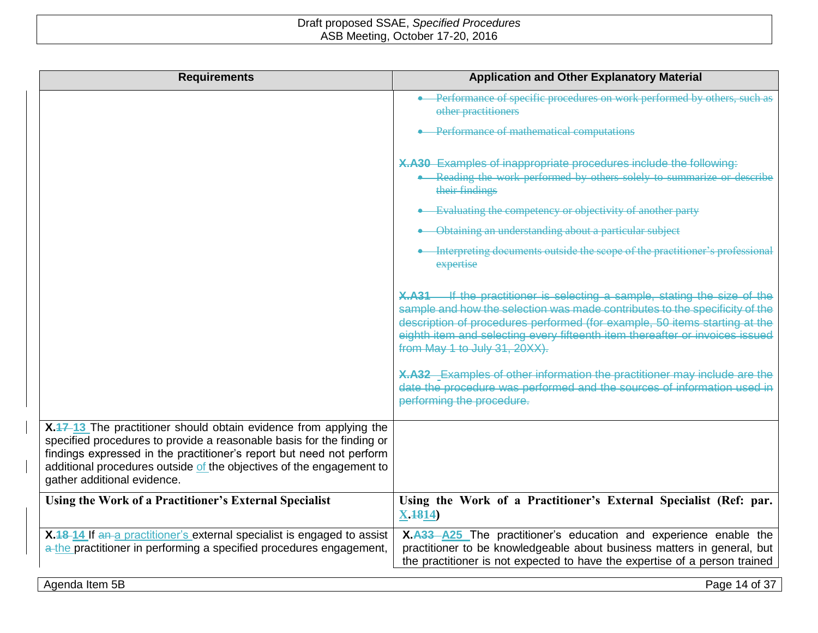| <b>Requirements</b>                                                                                                                                                                                                                                                                                                       | <b>Application and Other Explanatory Material</b>                                                                                                                                                                                                                                                                                                             |
|---------------------------------------------------------------------------------------------------------------------------------------------------------------------------------------------------------------------------------------------------------------------------------------------------------------------------|---------------------------------------------------------------------------------------------------------------------------------------------------------------------------------------------------------------------------------------------------------------------------------------------------------------------------------------------------------------|
|                                                                                                                                                                                                                                                                                                                           | • Performance of specific procedures on work performed by others, such as<br>other practitioners                                                                                                                                                                                                                                                              |
|                                                                                                                                                                                                                                                                                                                           | • Performance of mathematical computations                                                                                                                                                                                                                                                                                                                    |
|                                                                                                                                                                                                                                                                                                                           | <b>X.A30</b> Examples of inappropriate procedures include the following:<br>• Reading the work performed by others solely to summarize or describe<br>their findings                                                                                                                                                                                          |
|                                                                                                                                                                                                                                                                                                                           | Evaluating the competency or objectivity of another party                                                                                                                                                                                                                                                                                                     |
|                                                                                                                                                                                                                                                                                                                           | - Obtaining an understanding about a particular subject                                                                                                                                                                                                                                                                                                       |
|                                                                                                                                                                                                                                                                                                                           | Interpreting documents outside the scope of the practitioner's professional<br>expertise                                                                                                                                                                                                                                                                      |
|                                                                                                                                                                                                                                                                                                                           | <b>X.A31</b> If the practitioner is selecting a sample, stating the size of the<br>sample and how the selection was made contributes to the specificity of the<br>description of procedures performed (for example, 50 items starting at the<br>eighth item and selecting every fifteenth item thereafter or invoices issued<br>from May 1 to July 31, 20XX). |
|                                                                                                                                                                                                                                                                                                                           | X.A32 Examples of other information the practitioner may include are the<br>date the procedure was performed and the sources of information used in<br>performing the procedure.                                                                                                                                                                              |
| X.47-13 The practitioner should obtain evidence from applying the<br>specified procedures to provide a reasonable basis for the finding or<br>findings expressed in the practitioner's report but need not perform<br>additional procedures outside of the objectives of the engagement to<br>gather additional evidence. |                                                                                                                                                                                                                                                                                                                                                               |
| Using the Work of a Practitioner's External Specialist                                                                                                                                                                                                                                                                    | Using the Work of a Practitioner's External Specialist (Ref: par.<br><b>X.4814)</b>                                                                                                                                                                                                                                                                           |
| X.18-14 If an a practitioner's external specialist is engaged to assist<br>a the practitioner in performing a specified procedures engagement,                                                                                                                                                                            | X.433 A25 The practitioner's education and experience enable the<br>practitioner to be knowledgeable about business matters in general, but<br>the practitioner is not expected to have the expertise of a person trained                                                                                                                                     |
| Agenda Item 5B                                                                                                                                                                                                                                                                                                            | Page 14 of 37                                                                                                                                                                                                                                                                                                                                                 |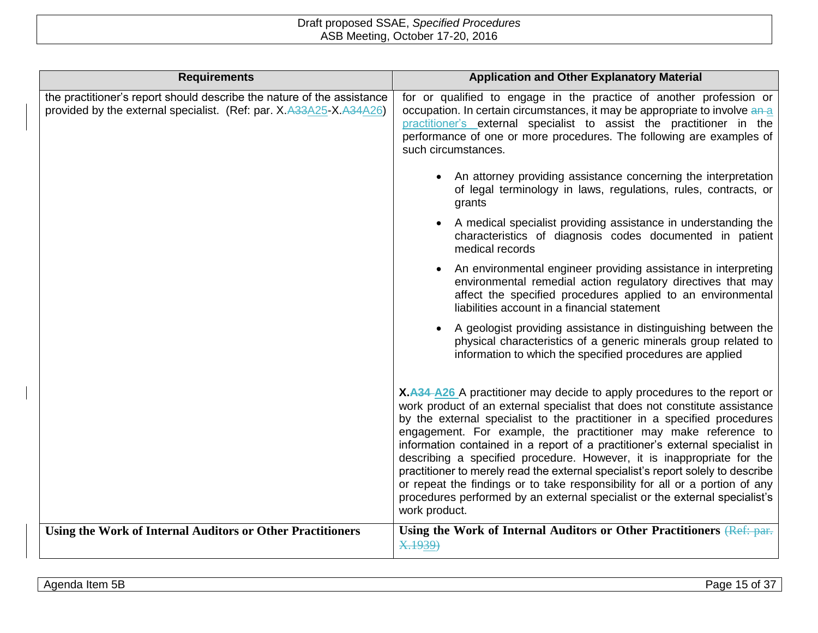| <b>Requirements</b>                                                                                                                            | <b>Application and Other Explanatory Material</b>                                                                                                                                                                                                                                                                                                                                                                                                                                                                                                                                                                                                                                                                                  |
|------------------------------------------------------------------------------------------------------------------------------------------------|------------------------------------------------------------------------------------------------------------------------------------------------------------------------------------------------------------------------------------------------------------------------------------------------------------------------------------------------------------------------------------------------------------------------------------------------------------------------------------------------------------------------------------------------------------------------------------------------------------------------------------------------------------------------------------------------------------------------------------|
| the practitioner's report should describe the nature of the assistance<br>provided by the external specialist. (Ref: par. X. A33A25-X. A34A26) | for or qualified to engage in the practice of another profession or<br>occupation. In certain circumstances, it may be appropriate to involve and<br>practitioner's external specialist to assist the practitioner in the<br>performance of one or more procedures. The following are examples of<br>such circumstances.                                                                                                                                                                                                                                                                                                                                                                                                           |
|                                                                                                                                                | • An attorney providing assistance concerning the interpretation<br>of legal terminology in laws, regulations, rules, contracts, or<br>grants                                                                                                                                                                                                                                                                                                                                                                                                                                                                                                                                                                                      |
|                                                                                                                                                | A medical specialist providing assistance in understanding the<br>characteristics of diagnosis codes documented in patient<br>medical records                                                                                                                                                                                                                                                                                                                                                                                                                                                                                                                                                                                      |
|                                                                                                                                                | An environmental engineer providing assistance in interpreting<br>environmental remedial action regulatory directives that may<br>affect the specified procedures applied to an environmental<br>liabilities account in a financial statement                                                                                                                                                                                                                                                                                                                                                                                                                                                                                      |
|                                                                                                                                                | A geologist providing assistance in distinguishing between the<br>physical characteristics of a generic minerals group related to<br>information to which the specified procedures are applied                                                                                                                                                                                                                                                                                                                                                                                                                                                                                                                                     |
|                                                                                                                                                | X.A34-A26 A practitioner may decide to apply procedures to the report or<br>work product of an external specialist that does not constitute assistance<br>by the external specialist to the practitioner in a specified procedures<br>engagement. For example, the practitioner may make reference to<br>information contained in a report of a practitioner's external specialist in<br>describing a specified procedure. However, it is inappropriate for the<br>practitioner to merely read the external specialist's report solely to describe<br>or repeat the findings or to take responsibility for all or a portion of any<br>procedures performed by an external specialist or the external specialist's<br>work product. |
| Using the Work of Internal Auditors or Other Practitioners                                                                                     | Using the Work of Internal Auditors or Other Practitioners (Ref. par.<br>X.1939)                                                                                                                                                                                                                                                                                                                                                                                                                                                                                                                                                                                                                                                   |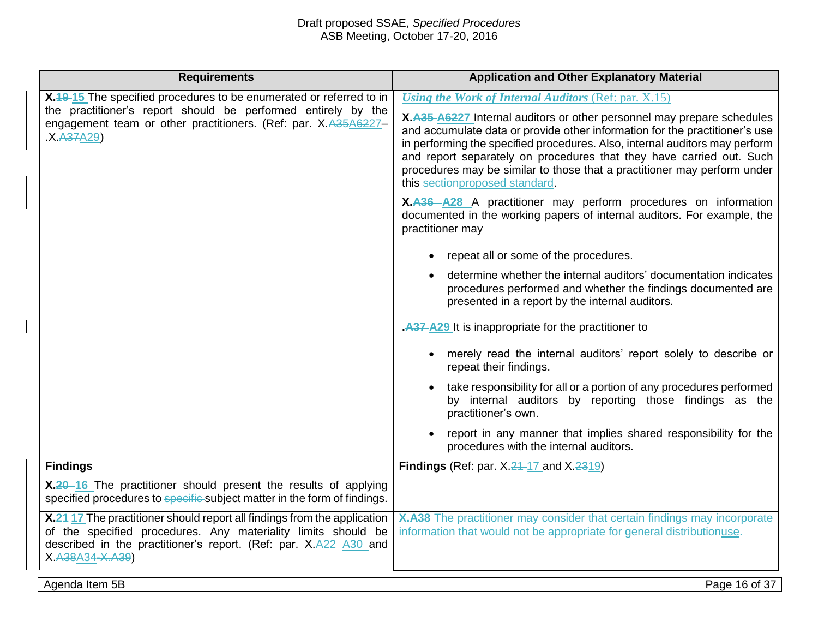| Draft proposed SSAE, Specified Procedures |
|-------------------------------------------|
| ASB Meeting, October 17-20, 2016          |

| <b>Requirements</b>                                                                                                                                                                                                              | <b>Application and Other Explanatory Material</b>                                                                                                                                                                                                                                                                                                                                                                           |
|----------------------------------------------------------------------------------------------------------------------------------------------------------------------------------------------------------------------------------|-----------------------------------------------------------------------------------------------------------------------------------------------------------------------------------------------------------------------------------------------------------------------------------------------------------------------------------------------------------------------------------------------------------------------------|
| X. 19-15 The specified procedures to be enumerated or referred to in                                                                                                                                                             | Using the Work of Internal Auditors (Ref: par. X.15)                                                                                                                                                                                                                                                                                                                                                                        |
| the practitioner's report should be performed entirely by the<br>engagement team or other practitioners. (Ref: par. X.A35A6227-<br>X.A37A29                                                                                      | X.435-A6227 Internal auditors or other personnel may prepare schedules<br>and accumulate data or provide other information for the practitioner's use<br>in performing the specified procedures. Also, internal auditors may perform<br>and report separately on procedures that they have carried out. Such<br>procedures may be similar to those that a practitioner may perform under<br>this section proposed standard. |
|                                                                                                                                                                                                                                  | X.A36 A28 A practitioner may perform procedures on information<br>documented in the working papers of internal auditors. For example, the<br>practitioner may                                                                                                                                                                                                                                                               |
|                                                                                                                                                                                                                                  | repeat all or some of the procedures.                                                                                                                                                                                                                                                                                                                                                                                       |
|                                                                                                                                                                                                                                  | determine whether the internal auditors' documentation indicates<br>procedures performed and whether the findings documented are<br>presented in a report by the internal auditors.                                                                                                                                                                                                                                         |
|                                                                                                                                                                                                                                  | A37-A29 It is inappropriate for the practitioner to                                                                                                                                                                                                                                                                                                                                                                         |
|                                                                                                                                                                                                                                  | merely read the internal auditors' report solely to describe or<br>repeat their findings.                                                                                                                                                                                                                                                                                                                                   |
|                                                                                                                                                                                                                                  | take responsibility for all or a portion of any procedures performed<br>by internal auditors by reporting those findings as the<br>practitioner's own.                                                                                                                                                                                                                                                                      |
|                                                                                                                                                                                                                                  | report in any manner that implies shared responsibility for the<br>procedures with the internal auditors.                                                                                                                                                                                                                                                                                                                   |
| <b>Findings</b>                                                                                                                                                                                                                  | Findings (Ref: par. $X.24-17$ and $X.2319$ )                                                                                                                                                                                                                                                                                                                                                                                |
| X.20-16 The practitioner should present the results of applying<br>specified procedures to specific subject matter in the form of findings.                                                                                      |                                                                                                                                                                                                                                                                                                                                                                                                                             |
| X.24-17 The practitioner should report all findings from the application<br>of the specified procedures. Any materiality limits should be<br>described in the practitioner's report. (Ref: par. X.A22-A30 and<br>X.A38A34-X.A39) | X.A38 The practitioner may consider that certain findings may incorporate<br>information that would not be appropriate for general distributionuse.                                                                                                                                                                                                                                                                         |
| Agenda Item 5B                                                                                                                                                                                                                   | Page 16 of 37                                                                                                                                                                                                                                                                                                                                                                                                               |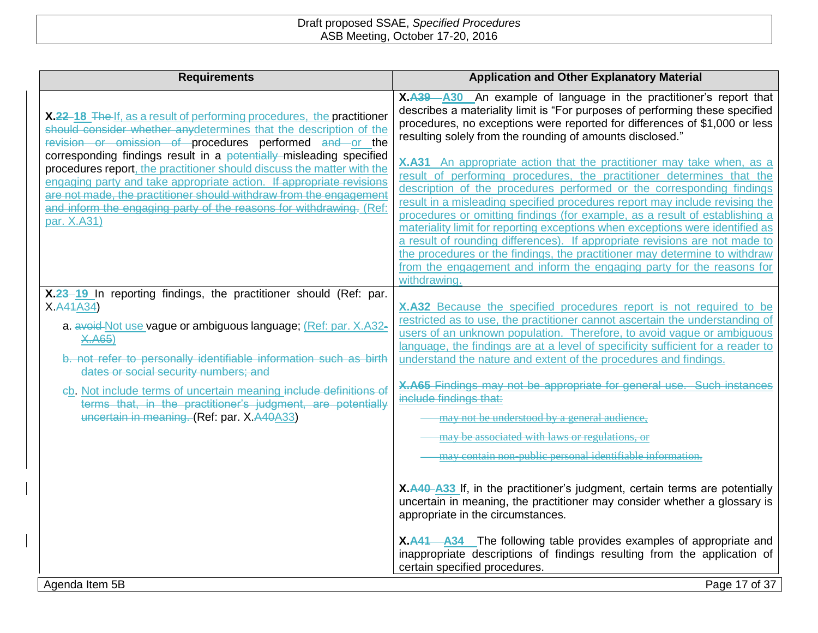| <b>Requirements</b>                                                                                                                                                                                                                                                                                                                                                                                                                                       | <b>Application and Other Explanatory Material</b>                                                                                                                                                                                                                                                                                                                                                                                                                                                                                                                                                                                                      |
|-----------------------------------------------------------------------------------------------------------------------------------------------------------------------------------------------------------------------------------------------------------------------------------------------------------------------------------------------------------------------------------------------------------------------------------------------------------|--------------------------------------------------------------------------------------------------------------------------------------------------------------------------------------------------------------------------------------------------------------------------------------------------------------------------------------------------------------------------------------------------------------------------------------------------------------------------------------------------------------------------------------------------------------------------------------------------------------------------------------------------------|
| X.22-18 The If, as a result of performing procedures, the practitioner<br>should consider whether anydetermines that the description of the<br>revision or omission of procedures performed and or the                                                                                                                                                                                                                                                    | X.A39 A30 An example of language in the practitioner's report that<br>describes a materiality limit is "For purposes of performing these specified<br>procedures, no exceptions were reported for differences of \$1,000 or less<br>resulting solely from the rounding of amounts disclosed."                                                                                                                                                                                                                                                                                                                                                          |
| corresponding findings result in a potentially misleading specified<br>procedures report, the practitioner should discuss the matter with the<br>engaging party and take appropriate action. If appropriate revisions<br>are not made, the practitioner should withdraw from the engagement<br>and inform the engaging party of the reasons for withdrawing. (Ref:<br>par. X.A31)                                                                         | X.A31 An appropriate action that the practitioner may take when, as a<br>result of performing procedures, the practitioner determines that the<br>description of the procedures performed or the corresponding findings<br>result in a misleading specified procedures report may include revising the<br>procedures or omitting findings (for example, as a result of establishing a<br>materiality limit for reporting exceptions when exceptions were identified as<br>a result of rounding differences). If appropriate revisions are not made to<br>the procedures or the findings, the practitioner may determine to withdraw                    |
|                                                                                                                                                                                                                                                                                                                                                                                                                                                           | from the engagement and inform the engaging party for the reasons for<br>withdrawing.                                                                                                                                                                                                                                                                                                                                                                                                                                                                                                                                                                  |
| X.23-19 In reporting findings, the practitioner should (Ref: par.<br>X.A44A34<br>a. avoid Not use vague or ambiguous language; (Ref: par. X.A32-<br>X.A65<br>b. not refer to personally identifiable information such as birth<br>dates or social security numbers; and<br>eb. Not include terms of uncertain meaning include definitions of<br>terms that, in the practitioner's judgment, are potentially<br>uncertain in meaning. (Ref: par. X.A40A33) | X.A32 Because the specified procedures report is not required to be<br>restricted as to use, the practitioner cannot ascertain the understanding of<br>users of an unknown population. Therefore, to avoid vague or ambiguous<br>language, the findings are at a level of specificity sufficient for a reader to<br>understand the nature and extent of the procedures and findings.<br>X.A65 Findings may not be appropriate for general use. Such instances<br>include findings that:<br>may not be understood by a general audience,<br>may be associated with laws or regulations, or<br>may contain non-public personal identifiable information. |
|                                                                                                                                                                                                                                                                                                                                                                                                                                                           | X.440-433 If, in the practitioner's judgment, certain terms are potentially<br>uncertain in meaning, the practitioner may consider whether a glossary is<br>appropriate in the circumstances.                                                                                                                                                                                                                                                                                                                                                                                                                                                          |
|                                                                                                                                                                                                                                                                                                                                                                                                                                                           | X.441 434 The following table provides examples of appropriate and<br>inappropriate descriptions of findings resulting from the application of<br>certain specified procedures.                                                                                                                                                                                                                                                                                                                                                                                                                                                                        |
| Agenda Item 5B                                                                                                                                                                                                                                                                                                                                                                                                                                            | Page 17 of 37                                                                                                                                                                                                                                                                                                                                                                                                                                                                                                                                                                                                                                          |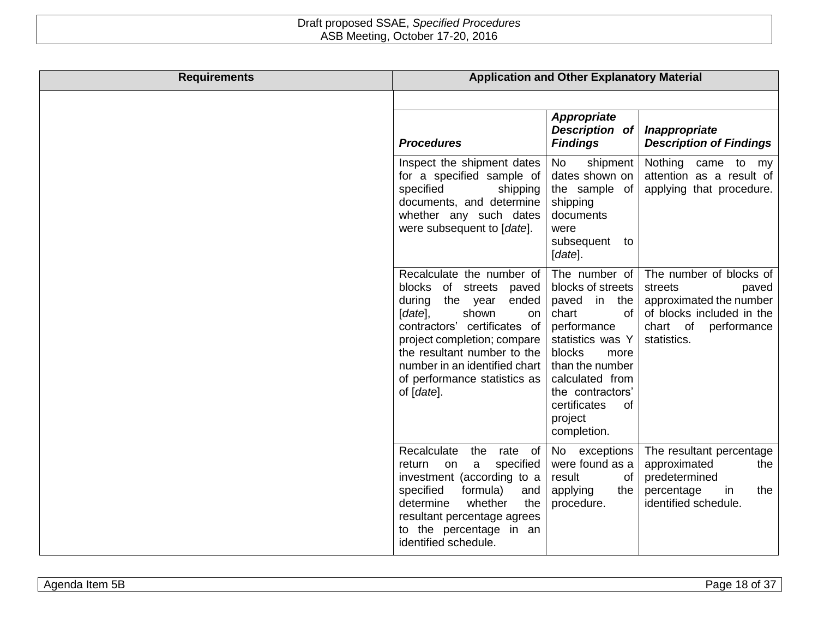| <b>Requirements</b> |                                                                                                                                                                                                                                                                                            | <b>Application and Other Explanatory Material</b>                                                                                                                                                                                |                                                                                                                                               |
|---------------------|--------------------------------------------------------------------------------------------------------------------------------------------------------------------------------------------------------------------------------------------------------------------------------------------|----------------------------------------------------------------------------------------------------------------------------------------------------------------------------------------------------------------------------------|-----------------------------------------------------------------------------------------------------------------------------------------------|
|                     | <b>Procedures</b>                                                                                                                                                                                                                                                                          | <b>Appropriate</b><br>Description of<br><b>Findings</b>                                                                                                                                                                          | Inappropriate<br><b>Description of Findings</b>                                                                                               |
|                     | Inspect the shipment dates<br>for a specified sample of<br>specified<br>shipping<br>documents, and determine<br>whether any such dates<br>were subsequent to [date].                                                                                                                       | <b>No</b><br>shipment<br>dates shown on<br>the sample of<br>shipping<br>documents<br>were<br>subsequent<br>to<br>$[date]$ .                                                                                                      | Nothing came to my<br>attention as a result of<br>applying that procedure.                                                                    |
|                     | Recalculate the number of<br>blocks of streets paved<br>during the year<br>ended<br>$[date]$ ,<br>shown<br>on<br>contractors' certificates of<br>project completion; compare<br>the resultant number to the<br>number in an identified chart<br>of performance statistics as<br>of [date]. | The number of<br>blocks of streets<br>paved in the<br>chart<br>0f<br>performance<br>statistics was Y<br>blocks<br>more<br>than the number<br>calculated from<br>the contractors'<br>certificates<br>of<br>project<br>completion. | The number of blocks of<br>streets<br>paved<br>approximated the number<br>of blocks included in the<br>chart of<br>performance<br>statistics. |
|                     | Recalculate<br>rate of<br>the<br>a<br>specified<br>return on<br>investment (according to a<br>specified<br>formula)<br>and<br>determine<br>whether<br>the<br>resultant percentage agrees<br>to the percentage in an<br>identified schedule.                                                | No exceptions<br>were found as a<br>result<br><b>of</b><br>applying<br>the<br>procedure.                                                                                                                                         | The resultant percentage<br>approximated<br>the<br>predetermined<br>percentage<br>in<br>the<br>identified schedule.                           |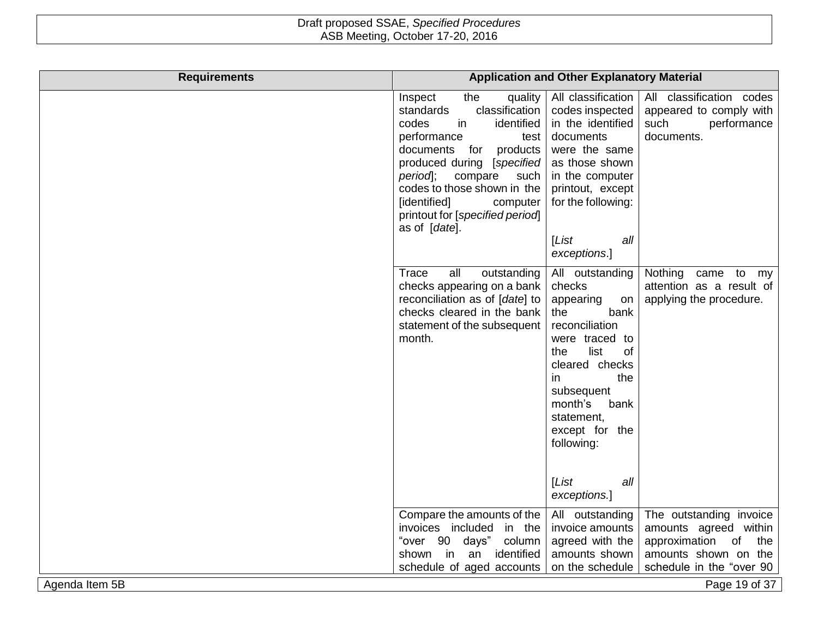| <b>Requirements</b> |                                                                                                                                                                                                                                                                                                                          | <b>Application and Other Explanatory Material</b>                                                                                                                                                                                   |                                                                                                                                 |
|---------------------|--------------------------------------------------------------------------------------------------------------------------------------------------------------------------------------------------------------------------------------------------------------------------------------------------------------------------|-------------------------------------------------------------------------------------------------------------------------------------------------------------------------------------------------------------------------------------|---------------------------------------------------------------------------------------------------------------------------------|
|                     | the<br>quality<br>Inspect<br>standards<br>classification<br>in<br>identified<br>codes<br>performance<br>test<br>documents for<br>products<br>produced during [specified]<br>$period$ ;<br>such<br>compare<br>codes to those shown in the<br>[identified]<br>computer<br>printout for [specified period]<br>as of [date]. | All classification<br>codes inspected<br>in the identified<br>documents<br>were the same<br>as those shown<br>in the computer<br>printout, except<br>for the following:<br>[List]<br>all<br>exceptions.]                            | All classification codes<br>appeared to comply with<br>such<br>performance<br>documents.                                        |
|                     | <b>Trace</b><br>all<br>outstanding<br>checks appearing on a bank<br>reconciliation as of [date] to<br>checks cleared in the bank<br>statement of the subsequent<br>month.                                                                                                                                                | All outstanding<br>checks<br>appearing<br>on<br>bank<br>the<br>reconciliation<br>were traced to<br>list<br>of<br>the<br>cleared checks<br>the<br>in.<br>subsequent<br>month's<br>bank<br>statement,<br>except for the<br>following: | Nothing<br>came to my<br>attention as a result of<br>applying the procedure.                                                    |
|                     |                                                                                                                                                                                                                                                                                                                          | [List]<br>all<br>exceptions.]                                                                                                                                                                                                       |                                                                                                                                 |
|                     | Compare the amounts of the<br>invoices included in the<br>"over 90 days" column<br>shown in an<br>identified<br>schedule of aged accounts                                                                                                                                                                                | All outstanding<br>invoice amounts<br>agreed with the<br>amounts shown<br>on the schedule                                                                                                                                           | The outstanding invoice<br>amounts agreed within<br>approximation of<br>the<br>amounts shown on the<br>schedule in the "over 90 |
| Agenda Item 5B      |                                                                                                                                                                                                                                                                                                                          |                                                                                                                                                                                                                                     | Page 19 of 37                                                                                                                   |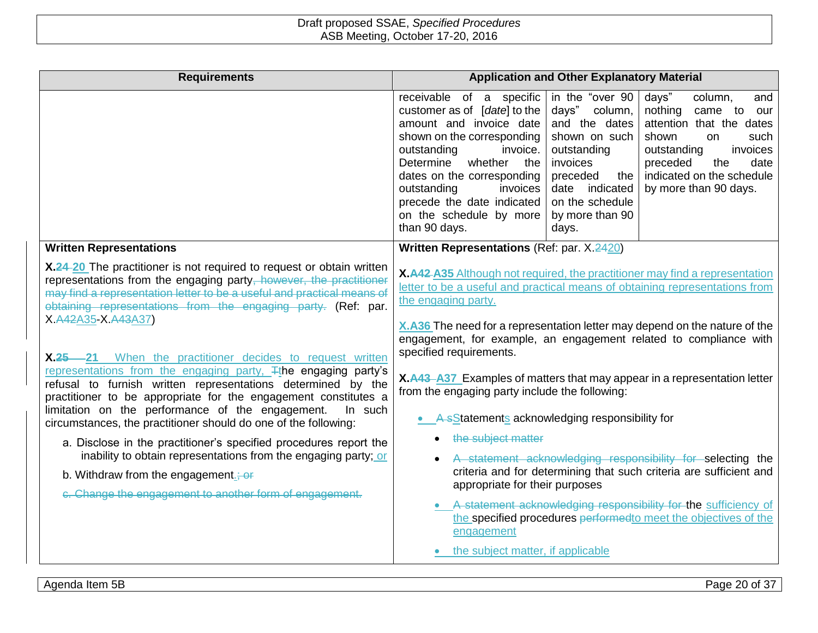| <b>Requirements</b>                                                                                                                                                                                                                                                                                                                                                                                                                                                                                                                                                                                                                                                                                            |                                                                                                                                                                                                                                                                                                                                                                                                                                                                                                                                                   | <b>Application and Other Explanatory Material</b>                                                                                                                                 |                                                                                                                                                                                                                                                                           |
|----------------------------------------------------------------------------------------------------------------------------------------------------------------------------------------------------------------------------------------------------------------------------------------------------------------------------------------------------------------------------------------------------------------------------------------------------------------------------------------------------------------------------------------------------------------------------------------------------------------------------------------------------------------------------------------------------------------|---------------------------------------------------------------------------------------------------------------------------------------------------------------------------------------------------------------------------------------------------------------------------------------------------------------------------------------------------------------------------------------------------------------------------------------------------------------------------------------------------------------------------------------------------|-----------------------------------------------------------------------------------------------------------------------------------------------------------------------------------|---------------------------------------------------------------------------------------------------------------------------------------------------------------------------------------------------------------------------------------------------------------------------|
|                                                                                                                                                                                                                                                                                                                                                                                                                                                                                                                                                                                                                                                                                                                | receivable of a specific<br>customer as of [date] to the<br>amount and invoice date<br>shown on the corresponding<br>outstanding<br>invoice.<br>whether<br>Determine<br>the<br>dates on the corresponding<br>outstanding<br>invoices<br>precede the date indicated<br>on the schedule by more<br>than 90 days.                                                                                                                                                                                                                                    | in the "over 90<br>days" column,<br>and the dates<br>shown on such<br>outstanding<br>invoices<br>preceded<br>the<br>date indicated<br>on the schedule<br>by more than 90<br>days. | days"<br>column,<br>and<br>nothing<br>came to<br>our<br>attention that the dates<br>shown<br>on<br>such<br>invoices<br>outstanding<br>preceded<br>the<br>date<br>indicated on the schedule<br>by more than 90 days.                                                       |
| <b>Written Representations</b>                                                                                                                                                                                                                                                                                                                                                                                                                                                                                                                                                                                                                                                                                 | Written Representations (Ref: par. X.2420)                                                                                                                                                                                                                                                                                                                                                                                                                                                                                                        |                                                                                                                                                                                   |                                                                                                                                                                                                                                                                           |
| X.24-20 The practitioner is not required to request or obtain written<br>representations from the engaging party, however, the practitioner<br>may find a representation letter to be a useful and practical means of<br>obtaining representations from the engaging party. (Ref: par.<br>X.A42A35-X.A43A37)<br>X.25 21 When the practitioner decides to request written<br>representations from the engaging party. The engaging party's<br>refusal to furnish written representations determined by the<br>practitioner to be appropriate for the engagement constitutes a<br>limitation on the performance of the engagement.<br>In such<br>circumstances, the practitioner should do one of the following: | X.442 A35 Although not required, the practitioner may find a representation<br>letter to be a useful and practical means of obtaining representations from<br>the engaging party.<br>X.A36 The need for a representation letter may depend on the nature of the<br>engagement, for example, an engagement related to compliance with<br>specified requirements.<br>X.443 A37 Examples of matters that may appear in a representation letter<br>from the engaging party include the following:<br>• A sStatements acknowledging responsibility for |                                                                                                                                                                                   |                                                                                                                                                                                                                                                                           |
| a. Disclose in the practitioner's specified procedures report the<br>inability to obtain representations from the engaging party; or<br>b. Withdraw from the engagement. $\frac{1}{2}$ or<br>c. Change the engagement to another form of engagement.                                                                                                                                                                                                                                                                                                                                                                                                                                                           | the subject matter<br>appropriate for their purposes<br>engagement<br>the subject matter, if applicable                                                                                                                                                                                                                                                                                                                                                                                                                                           |                                                                                                                                                                                   | A statement acknowledging responsibility for selecting the<br>criteria and for determining that such criteria are sufficient and<br>• A statement acknowledging responsibility for the sufficiency of<br>the specified procedures performed to meet the objectives of the |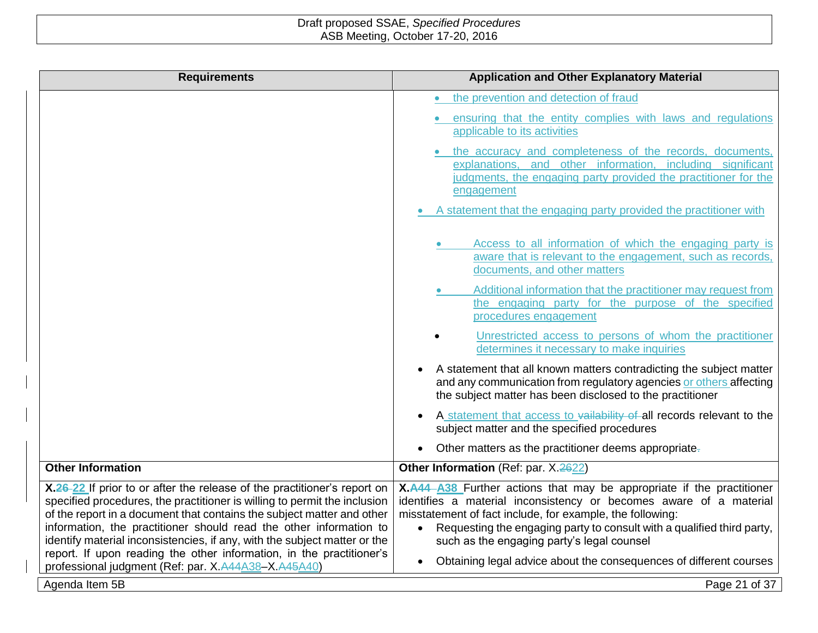| <b>Requirements</b>                                                                                                                                                                                                                                                                                                                                                                | <b>Application and Other Explanatory Material</b>                                                                                                                                                                                                                                                                                             |  |
|------------------------------------------------------------------------------------------------------------------------------------------------------------------------------------------------------------------------------------------------------------------------------------------------------------------------------------------------------------------------------------|-----------------------------------------------------------------------------------------------------------------------------------------------------------------------------------------------------------------------------------------------------------------------------------------------------------------------------------------------|--|
|                                                                                                                                                                                                                                                                                                                                                                                    | the prevention and detection of fraud                                                                                                                                                                                                                                                                                                         |  |
|                                                                                                                                                                                                                                                                                                                                                                                    | ensuring that the entity complies with laws and regulations<br>applicable to its activities                                                                                                                                                                                                                                                   |  |
|                                                                                                                                                                                                                                                                                                                                                                                    | the accuracy and completeness of the records, documents,<br>explanations, and other information, including significant<br>judgments, the engaging party provided the practitioner for the<br>engagement<br>A statement that the engaging party provided the practitioner with                                                                 |  |
|                                                                                                                                                                                                                                                                                                                                                                                    |                                                                                                                                                                                                                                                                                                                                               |  |
|                                                                                                                                                                                                                                                                                                                                                                                    | Access to all information of which the engaging party is<br>aware that is relevant to the engagement, such as records,<br>documents, and other matters                                                                                                                                                                                        |  |
|                                                                                                                                                                                                                                                                                                                                                                                    | Additional information that the practitioner may request from<br>the engaging party for the purpose of the specified<br>procedures engagement                                                                                                                                                                                                 |  |
|                                                                                                                                                                                                                                                                                                                                                                                    | Unrestricted access to persons of whom the practitioner<br>determines it necessary to make inquiries                                                                                                                                                                                                                                          |  |
|                                                                                                                                                                                                                                                                                                                                                                                    | A statement that all known matters contradicting the subject matter<br>and any communication from regulatory agencies or others affecting<br>the subject matter has been disclosed to the practitioner                                                                                                                                        |  |
|                                                                                                                                                                                                                                                                                                                                                                                    | A statement that access to vailability of all records relevant to the<br>subject matter and the specified procedures                                                                                                                                                                                                                          |  |
|                                                                                                                                                                                                                                                                                                                                                                                    | Other matters as the practitioner deems appropriate-<br>$\bullet$                                                                                                                                                                                                                                                                             |  |
| <b>Other Information</b>                                                                                                                                                                                                                                                                                                                                                           | <b>Other Information</b> (Ref: par. X.2622)                                                                                                                                                                                                                                                                                                   |  |
| X.26-22 If prior to or after the release of the practitioner's report on<br>specified procedures, the practitioner is willing to permit the inclusion<br>of the report in a document that contains the subject matter and other<br>information, the practitioner should read the other information to<br>identify material inconsistencies, if any, with the subject matter or the | X.A44 A38 Further actions that may be appropriate if the practitioner<br>identifies a material inconsistency or becomes aware of a material<br>misstatement of fact include, for example, the following:<br>Requesting the engaging party to consult with a qualified third party,<br>$\bullet$<br>such as the engaging party's legal counsel |  |
| report. If upon reading the other information, in the practitioner's<br>professional judgment (Ref: par. X.A44A38-X.A45A40)                                                                                                                                                                                                                                                        | Obtaining legal advice about the consequences of different courses<br>$\bullet$                                                                                                                                                                                                                                                               |  |
| Agenda Item 5B                                                                                                                                                                                                                                                                                                                                                                     | Page 21 of 37                                                                                                                                                                                                                                                                                                                                 |  |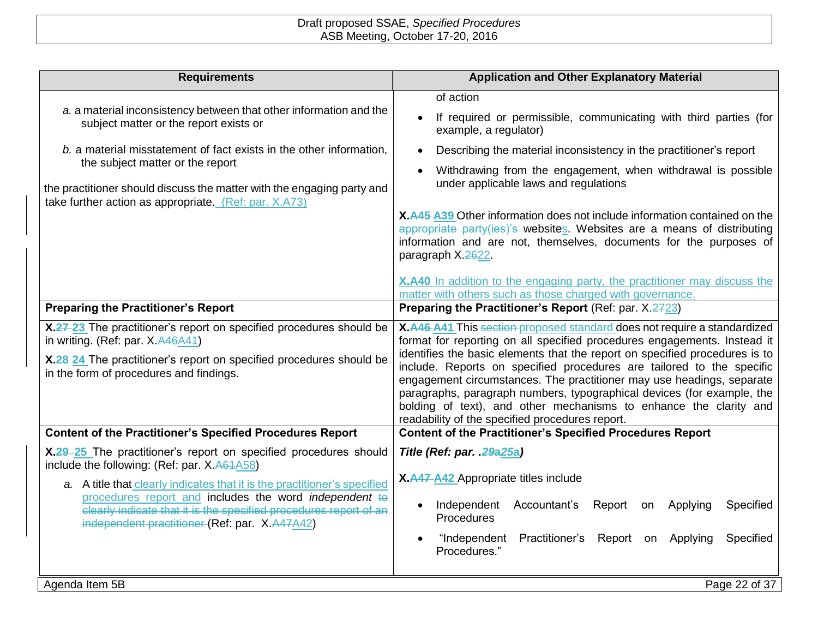| <b>Requirements</b>                                                                                                                                                                 | <b>Application and Other Explanatory Material</b>                                                                                                                                                                                                                                                                                                                                                                               |
|-------------------------------------------------------------------------------------------------------------------------------------------------------------------------------------|---------------------------------------------------------------------------------------------------------------------------------------------------------------------------------------------------------------------------------------------------------------------------------------------------------------------------------------------------------------------------------------------------------------------------------|
|                                                                                                                                                                                     | of action                                                                                                                                                                                                                                                                                                                                                                                                                       |
| a. a material inconsistency between that other information and the<br>subject matter or the report exists or                                                                        | If required or permissible, communicating with third parties (for<br>example, a regulator)                                                                                                                                                                                                                                                                                                                                      |
| b. a material misstatement of fact exists in the other information,                                                                                                                 | Describing the material inconsistency in the practitioner's report                                                                                                                                                                                                                                                                                                                                                              |
| the subject matter or the report                                                                                                                                                    | Withdrawing from the engagement, when withdrawal is possible                                                                                                                                                                                                                                                                                                                                                                    |
| the practitioner should discuss the matter with the engaging party and<br>take further action as appropriate. (Ref: par. X.A73)                                                     | under applicable laws and regulations                                                                                                                                                                                                                                                                                                                                                                                           |
|                                                                                                                                                                                     | X.A45-A39 Other information does not include information contained on the<br>appropriate party(ies)'s websites. Websites are a means of distributing<br>information and are not, themselves, documents for the purposes of<br>paragraph X.2622.                                                                                                                                                                                 |
|                                                                                                                                                                                     | X.A40 In addition to the engaging party, the practitioner may discuss the                                                                                                                                                                                                                                                                                                                                                       |
|                                                                                                                                                                                     | matter with others such as those charged with governance.                                                                                                                                                                                                                                                                                                                                                                       |
| <b>Preparing the Practitioner's Report</b>                                                                                                                                          | Preparing the Practitioner's Report (Ref: par. X.2723)                                                                                                                                                                                                                                                                                                                                                                          |
| X.27-23 The practitioner's report on specified procedures should be<br>in writing. (Ref: par. X. A46A41)                                                                            | X.A46-A41 This section-proposed standard does not require a standardized<br>format for reporting on all specified procedures engagements. Instead it                                                                                                                                                                                                                                                                            |
| X.28-24 The practitioner's report on specified procedures should be<br>in the form of procedures and findings.                                                                      | identifies the basic elements that the report on specified procedures is to<br>include. Reports on specified procedures are tailored to the specific<br>engagement circumstances. The practitioner may use headings, separate<br>paragraphs, paragraph numbers, typographical devices (for example, the<br>bolding of text), and other mechanisms to enhance the clarity and<br>readability of the specified procedures report. |
| <b>Content of the Practitioner's Specified Procedures Report</b>                                                                                                                    | <b>Content of the Practitioner's Specified Procedures Report</b>                                                                                                                                                                                                                                                                                                                                                                |
| X.29 25 The practitioner's report on specified procedures should<br>include the following: (Ref: par. X.A64A58)                                                                     | Title (Ref: par. 29a25a)                                                                                                                                                                                                                                                                                                                                                                                                        |
| a. A title that clearly indicates that it is the practitioner's specified                                                                                                           | X.A47-A42 Appropriate titles include                                                                                                                                                                                                                                                                                                                                                                                            |
| procedures report and includes the word <i>independent</i> to<br>clearly indicate that it is the specified procedures report of an<br>independent practitioner (Ref: par. X.A47A42) | Report<br>Independent<br>Accountant's<br>Specified<br>Applying<br>on<br>$\bullet$<br><b>Procedures</b>                                                                                                                                                                                                                                                                                                                          |
|                                                                                                                                                                                     | "Independent<br>Practitioner's<br>Report<br>Specified<br>Applying<br>on<br>$\bullet$<br>Procedures."                                                                                                                                                                                                                                                                                                                            |
| Agenda Item 5B                                                                                                                                                                      | Page 22 of 37                                                                                                                                                                                                                                                                                                                                                                                                                   |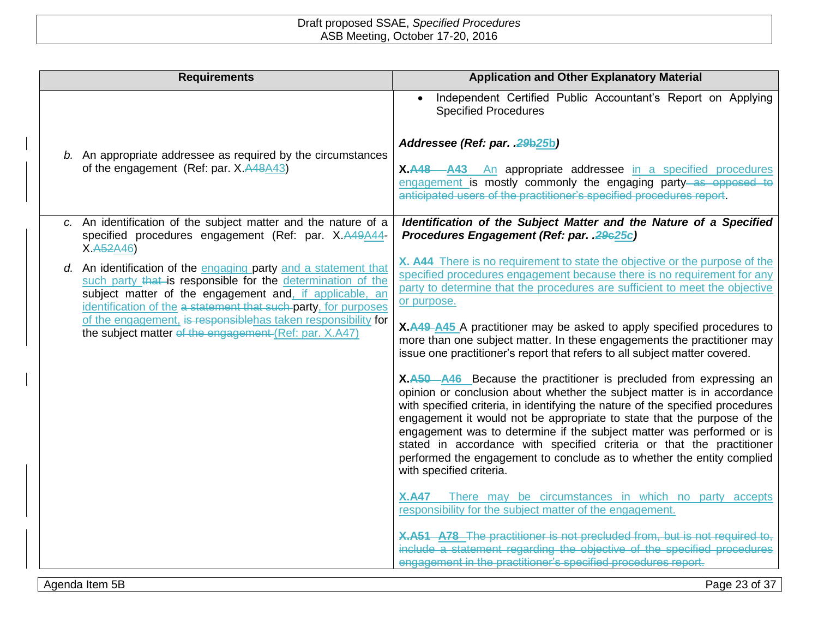| <b>Requirements</b>                                                                                                                                                                                                                                          | <b>Application and Other Explanatory Material</b>                                                                                                                                                                                                                                                                                                                                                                                                                                                                                                                  |
|--------------------------------------------------------------------------------------------------------------------------------------------------------------------------------------------------------------------------------------------------------------|--------------------------------------------------------------------------------------------------------------------------------------------------------------------------------------------------------------------------------------------------------------------------------------------------------------------------------------------------------------------------------------------------------------------------------------------------------------------------------------------------------------------------------------------------------------------|
| b. An appropriate addressee as required by the circumstances<br>of the engagement (Ref: par. X.A48A43)                                                                                                                                                       | Independent Certified Public Accountant's Report on Applying<br><b>Specified Procedures</b><br>Addressee (Ref: par. 29b25b)<br>X.A48 A43 An appropriate addressee in a specified procedures<br>engagement is mostly commonly the engaging party as opposed to<br>anticipated users of the practitioner's specified procedures report.                                                                                                                                                                                                                              |
| c. An identification of the subject matter and the nature of a<br>specified procedures engagement (Ref: par. X.A49A44-<br>X.A52A46)                                                                                                                          | Identification of the Subject Matter and the Nature of a Specified<br>Procedures Engagement (Ref: par. . 29c25c)                                                                                                                                                                                                                                                                                                                                                                                                                                                   |
| d. An identification of the engaging party and a statement that<br>such party that is responsible for the determination of the<br>subject matter of the engagement and, if applicable, an<br>identification of the a statement that such party, for purposes | X. A44 There is no requirement to state the objective or the purpose of the<br>specified procedures engagement because there is no requirement for any<br>party to determine that the procedures are sufficient to meet the objective<br>or purpose.                                                                                                                                                                                                                                                                                                               |
| of the engagement, is responsiblehas taken responsibility for<br>the subject matter of the engagement (Ref: par. X.A47)                                                                                                                                      | X.A49-A45 A practitioner may be asked to apply specified procedures to<br>more than one subject matter. In these engagements the practitioner may<br>issue one practitioner's report that refers to all subject matter covered.                                                                                                                                                                                                                                                                                                                                    |
|                                                                                                                                                                                                                                                              | X.450 A46 Because the practitioner is precluded from expressing an<br>opinion or conclusion about whether the subject matter is in accordance<br>with specified criteria, in identifying the nature of the specified procedures<br>engagement it would not be appropriate to state that the purpose of the<br>engagement was to determine if the subject matter was performed or is<br>stated in accordance with specified criteria or that the practitioner<br>performed the engagement to conclude as to whether the entity complied<br>with specified criteria. |
|                                                                                                                                                                                                                                                              | X.A47 There may be circumstances in which no party accepts<br>responsibility for the subject matter of the engagement.                                                                                                                                                                                                                                                                                                                                                                                                                                             |
|                                                                                                                                                                                                                                                              | X.A51 A78 The practitioner is not precluded from, but is not required to,<br>include a statement regarding the objective of the specified procedures<br>engagement in the practitioner's specified procedures report.                                                                                                                                                                                                                                                                                                                                              |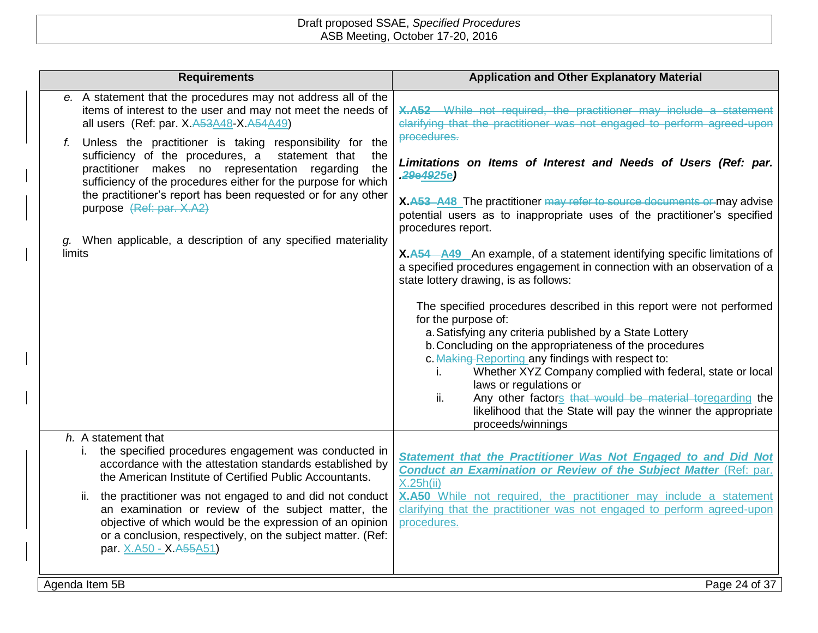| <b>Requirements</b>                                                                                                                                                                                                                                                                                                                                                                                                                                                                                                                                                                                          | <b>Application and Other Explanatory Material</b>                                                                                                                                                                                                                                                                                                                                                                                                                                                                                                                                                                       |
|--------------------------------------------------------------------------------------------------------------------------------------------------------------------------------------------------------------------------------------------------------------------------------------------------------------------------------------------------------------------------------------------------------------------------------------------------------------------------------------------------------------------------------------------------------------------------------------------------------------|-------------------------------------------------------------------------------------------------------------------------------------------------------------------------------------------------------------------------------------------------------------------------------------------------------------------------------------------------------------------------------------------------------------------------------------------------------------------------------------------------------------------------------------------------------------------------------------------------------------------------|
| e. A statement that the procedures may not address all of the<br>items of interest to the user and may not meet the needs of<br>all users (Ref: par. X. A53A48-X. A54A49)<br>Unless the practitioner is taking responsibility for the<br>f.<br>sufficiency of the procedures, a<br>statement that<br>the<br>practitioner makes no representation regarding<br>the<br>sufficiency of the procedures either for the purpose for which<br>the practitioner's report has been requested or for any other<br>purpose (Ref: par. X.A2)<br>g. When applicable, a description of any specified materiality<br>limits | X.A52 While not required, the practitioner may include a statement<br>clarifying that the practitioner was not engaged to perform agreed-upon<br>procedures.<br>Limitations on Items of Interest and Needs of Users (Ref: par.<br>29e4925e<br>X.453 A48 The practitioner may refer to source documents or may advise<br>potential users as to inappropriate uses of the practitioner's specified<br>procedures report.<br>X.A54 A49 An example, of a statement identifying specific limitations of<br>a specified procedures engagement in connection with an observation of a<br>state lottery drawing, is as follows: |
|                                                                                                                                                                                                                                                                                                                                                                                                                                                                                                                                                                                                              | The specified procedures described in this report were not performed<br>for the purpose of:<br>a. Satisfying any criteria published by a State Lottery<br>b. Concluding on the appropriateness of the procedures<br>c. Making Reporting any findings with respect to:<br>Whether XYZ Company complied with federal, state or local<br>İ.<br>laws or regulations or                                                                                                                                                                                                                                                      |
|                                                                                                                                                                                                                                                                                                                                                                                                                                                                                                                                                                                                              | Any other factors that would be material toregarding the<br>ii.<br>likelihood that the State will pay the winner the appropriate<br>proceeds/winnings                                                                                                                                                                                                                                                                                                                                                                                                                                                                   |
| h. A statement that<br>i. the specified procedures engagement was conducted in<br>accordance with the attestation standards established by<br>the American Institute of Certified Public Accountants.                                                                                                                                                                                                                                                                                                                                                                                                        | Statement that the Practitioner Was Not Engaged to and Did Not<br><b>Conduct an Examination or Review of the Subject Matter (Ref: par.</b><br>X.25h(ii)                                                                                                                                                                                                                                                                                                                                                                                                                                                                 |
| ii. the practitioner was not engaged to and did not conduct<br>an examination or review of the subject matter, the<br>objective of which would be the expression of an opinion<br>or a conclusion, respectively, on the subject matter. (Ref:<br>par. X.A50 - X.A55A51)                                                                                                                                                                                                                                                                                                                                      | X.A50 While not required, the practitioner may include a statement<br>clarifying that the practitioner was not engaged to perform agreed-upon<br>procedures.                                                                                                                                                                                                                                                                                                                                                                                                                                                            |
| Agenda Item 5B                                                                                                                                                                                                                                                                                                                                                                                                                                                                                                                                                                                               | Page 24 of 37                                                                                                                                                                                                                                                                                                                                                                                                                                                                                                                                                                                                           |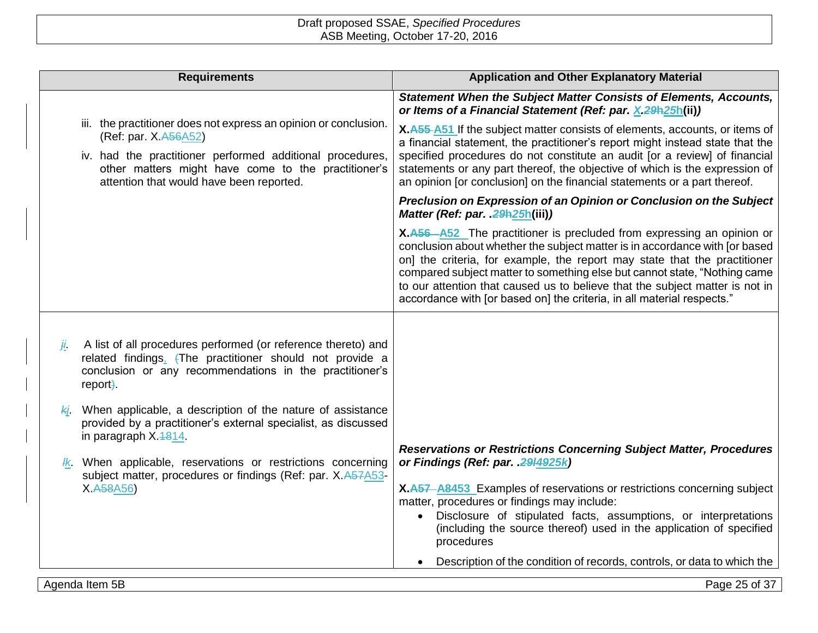| <b>Requirements</b>                                                                                                                                                                                           | <b>Application and Other Explanatory Material</b>                                                                                                                                                                                                                                                                                                                                                                                                                        |
|---------------------------------------------------------------------------------------------------------------------------------------------------------------------------------------------------------------|--------------------------------------------------------------------------------------------------------------------------------------------------------------------------------------------------------------------------------------------------------------------------------------------------------------------------------------------------------------------------------------------------------------------------------------------------------------------------|
|                                                                                                                                                                                                               | <b>Statement When the Subject Matter Consists of Elements, Accounts,</b><br>or Items of a Financial Statement (Ref: par. X.29h25h(ii))                                                                                                                                                                                                                                                                                                                                   |
| iii. the practitioner does not express an opinion or conclusion.<br>(Ref: par. X. A56A52)<br>iv. had the practitioner performed additional procedures,<br>other matters might have come to the practitioner's | X.455-A51 If the subject matter consists of elements, accounts, or items of<br>a financial statement, the practitioner's report might instead state that the<br>specified procedures do not constitute an audit [or a review] of financial<br>statements or any part thereof, the objective of which is the expression of                                                                                                                                                |
| attention that would have been reported.                                                                                                                                                                      | an opinion [or conclusion] on the financial statements or a part thereof.<br>Preclusion on Expression of an Opinion or Conclusion on the Subject<br>Matter (Ref: par. . 29h 25h (iii))                                                                                                                                                                                                                                                                                   |
|                                                                                                                                                                                                               | X.456 A52 The practitioner is precluded from expressing an opinion or<br>conclusion about whether the subject matter is in accordance with [or based<br>on] the criteria, for example, the report may state that the practitioner<br>compared subject matter to something else but cannot state, "Nothing came<br>to our attention that caused us to believe that the subject matter is not in<br>accordance with [or based on] the criteria, in all material respects." |
|                                                                                                                                                                                                               |                                                                                                                                                                                                                                                                                                                                                                                                                                                                          |
| A list of all procedures performed (or reference thereto) and<br>ji<br>related findings. (The practitioner should not provide a<br>conclusion or any recommendations in the practitioner's<br>report).        |                                                                                                                                                                                                                                                                                                                                                                                                                                                                          |
| When applicable, a description of the nature of assistance<br>-ki.<br>provided by a practitioner's external specialist, as discussed<br>in paragraph $X$ $\frac{4814}{5}$ .                                   |                                                                                                                                                                                                                                                                                                                                                                                                                                                                          |
| When applicable, reservations or restrictions concerning<br>łk.<br>subject matter, procedures or findings (Ref: par. X.A57A53-                                                                                | <b>Reservations or Restrictions Concerning Subject Matter, Procedures</b><br>or Findings (Ref: par. 2914925k)                                                                                                                                                                                                                                                                                                                                                            |
| X.A58A56)                                                                                                                                                                                                     | X.A57 A8453 Examples of reservations or restrictions concerning subject<br>matter, procedures or findings may include:<br>Disclosure of stipulated facts, assumptions, or interpretations<br>(including the source thereof) used in the application of specified<br>procedures                                                                                                                                                                                           |
|                                                                                                                                                                                                               | Description of the condition of records, controls, or data to which the                                                                                                                                                                                                                                                                                                                                                                                                  |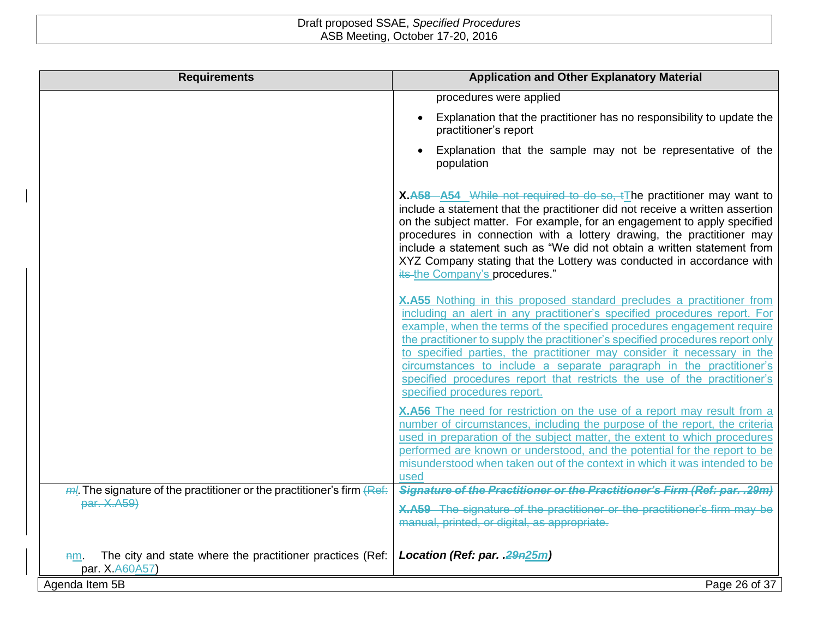| <b>Requirements</b>                                                                                     | <b>Application and Other Explanatory Material</b>                                                                                                                                                                                                                                                                                                                                                                                                                                                                                                                            |
|---------------------------------------------------------------------------------------------------------|------------------------------------------------------------------------------------------------------------------------------------------------------------------------------------------------------------------------------------------------------------------------------------------------------------------------------------------------------------------------------------------------------------------------------------------------------------------------------------------------------------------------------------------------------------------------------|
|                                                                                                         | procedures were applied                                                                                                                                                                                                                                                                                                                                                                                                                                                                                                                                                      |
|                                                                                                         | Explanation that the practitioner has no responsibility to update the<br>$\bullet$<br>practitioner's report                                                                                                                                                                                                                                                                                                                                                                                                                                                                  |
|                                                                                                         | Explanation that the sample may not be representative of the<br>population                                                                                                                                                                                                                                                                                                                                                                                                                                                                                                   |
|                                                                                                         | X.458 A54 While not required to do so, tThe practitioner may want to<br>include a statement that the practitioner did not receive a written assertion<br>on the subject matter. For example, for an engagement to apply specified<br>procedures in connection with a lottery drawing, the practitioner may<br>include a statement such as "We did not obtain a written statement from<br>XYZ Company stating that the Lottery was conducted in accordance with<br><i>its</i> -the Company's procedures."                                                                     |
|                                                                                                         | X.A55 Nothing in this proposed standard precludes a practitioner from<br>including an alert in any practitioner's specified procedures report. For<br>example, when the terms of the specified procedures engagement require<br>the practitioner to supply the practitioner's specified procedures report only<br>to specified parties, the practitioner may consider it necessary in the<br>circumstances to include a separate paragraph in the practitioner's<br>specified procedures report that restricts the use of the practitioner's<br>specified procedures report. |
|                                                                                                         | X.A56 The need for restriction on the use of a report may result from a<br>number of circumstances, including the purpose of the report, the criteria<br>used in preparation of the subject matter, the extent to which procedures<br>performed are known or understood, and the potential for the report to be<br>misunderstood when taken out of the context in which it was intended to be<br>used                                                                                                                                                                        |
| $m$ . The signature of the practitioner or the practitioner's firm $\sqrt{\text{Ref}}$ .<br>par. X.A59) | Signature of the Practitioner or the Practitioner's Firm (Ref: par. . 29m)<br>X.A59 The signature of the practitioner or the practitioner's firm may be<br>manual, printed, or digital, as appropriate.                                                                                                                                                                                                                                                                                                                                                                      |
| The city and state where the practitioner practices (Ref:<br>Am.<br>par. X.A60A57)                      | Location (Ref: par. 29n25m)                                                                                                                                                                                                                                                                                                                                                                                                                                                                                                                                                  |
| Agenda Item 5B                                                                                          | Page 26 of 37                                                                                                                                                                                                                                                                                                                                                                                                                                                                                                                                                                |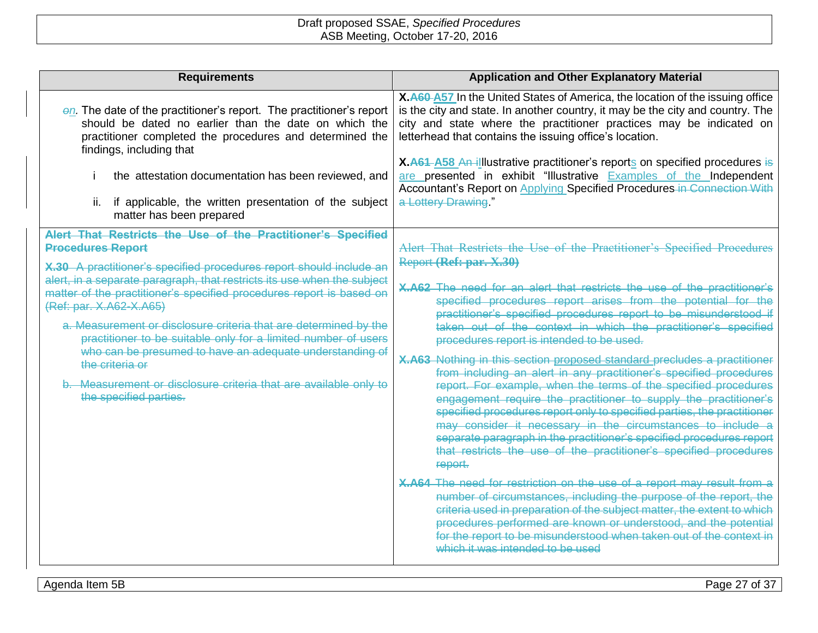| <b>Requirements</b>                                                                                                                                                                                                                                                                                                                                                                                                                                                                                                                                                                                                                                              | <b>Application and Other Explanatory Material</b>                                                                                                                                                                                                                                                                                                                                                                                                                                                                                                                                                                                                                                                                                                                                                                                                                                                                                                                                                                                                                                                                                                                                                                                                                                                                                                                                                                                              |
|------------------------------------------------------------------------------------------------------------------------------------------------------------------------------------------------------------------------------------------------------------------------------------------------------------------------------------------------------------------------------------------------------------------------------------------------------------------------------------------------------------------------------------------------------------------------------------------------------------------------------------------------------------------|------------------------------------------------------------------------------------------------------------------------------------------------------------------------------------------------------------------------------------------------------------------------------------------------------------------------------------------------------------------------------------------------------------------------------------------------------------------------------------------------------------------------------------------------------------------------------------------------------------------------------------------------------------------------------------------------------------------------------------------------------------------------------------------------------------------------------------------------------------------------------------------------------------------------------------------------------------------------------------------------------------------------------------------------------------------------------------------------------------------------------------------------------------------------------------------------------------------------------------------------------------------------------------------------------------------------------------------------------------------------------------------------------------------------------------------------|
| <b>en.</b> The date of the practitioner's report. The practitioner's report<br>should be dated no earlier than the date on which the<br>practitioner completed the procedures and determined the<br>findings, including that<br>the attestation documentation has been reviewed, and<br>if applicable, the written presentation of the subject<br>ii.<br>matter has been prepared                                                                                                                                                                                                                                                                                | X.460-A57 In the United States of America, the location of the issuing office<br>is the city and state. In another country, it may be the city and country. The<br>city and state where the practitioner practices may be indicated on<br>letterhead that contains the issuing office's location.<br>X.461-A58 An-illustrative practitioner's reports on specified procedures is<br>are presented in exhibit "Illustrative Examples of the Independent<br>Accountant's Report on Applying Specified Procedures-in-Connection With<br>a Lottery Drawing"                                                                                                                                                                                                                                                                                                                                                                                                                                                                                                                                                                                                                                                                                                                                                                                                                                                                                        |
| Alert That Restricts the Use of the Practitioner's Specified<br><b>Procedures Report</b><br>X.30 A practitioner's specified procedures report should include an<br>alert, in a separate paragraph, that restricts its use when the subiect<br>matter of the practitioner's specified procedures report is based on<br>(Ref: par. X.A62-X.A65)<br>a. Measurement or disclosure criteria that are determined by the<br>practitioner to be suitable only for a limited number of users<br>who can be presumed to have an adequate understanding of<br>the criteria or<br>b. Measurement or disclosure criteria that are available only to<br>the specified parties. | Alert That Restricts the Use of the Practitioner's Specified Procedures<br>Report (Ref: par. X.30)<br><b>X.A62</b> The need for an alert that restricts the use of the practitioner's<br>specified procedures report arises from the potential for the<br>practitioner's specified procedures report to be misunderstood if<br>taken out of the context in which the practitioner's specified<br>procedures report is intended to be used.<br>X.A63 Nothing in this section proposed standard precludes a practitioner<br>from including an alert in any practitioner's specified procedures<br>report. For example, when the terms of the specified procedures<br>engagement require the practitioner to supply the practitioner's<br>specified procedures report only to specified parties, the practitioner<br>may consider it necessary in the circumstances to include a<br>separate paragraph in the practitioner's specified procedures report<br>that restricts the use of the practitioner's specified procedures<br>report.<br>X.A64 The need for restriction on the use of a report may result from a<br>number of circumstances, including the purpose of the report, the<br>criteria used in preparation of the subject matter, the extent to which<br>procedures performed are known or understood, and the potential<br>for the report to be misunderstood when taken out of the context in<br>which it was intended to be used |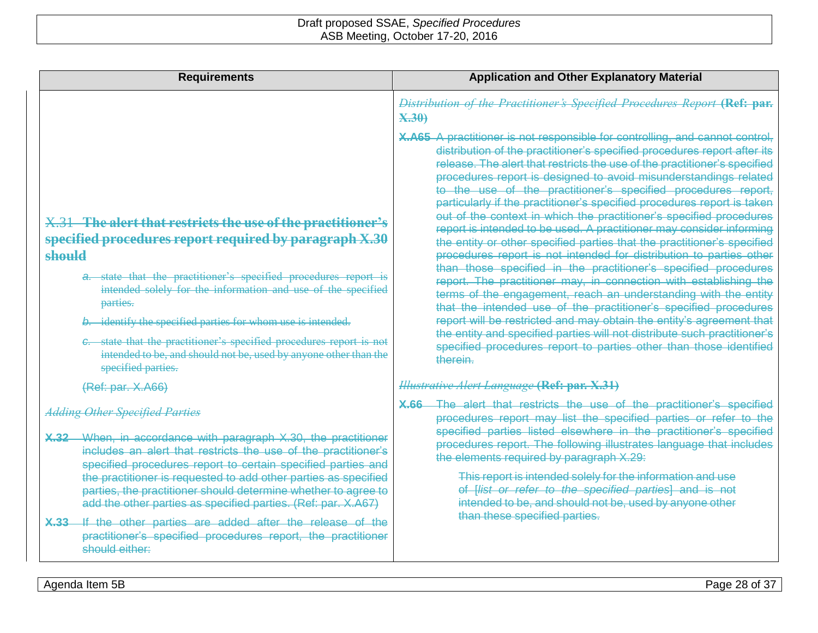| <b>Requirements</b>                                                                                                                                                                                                                                                                                                                                                                                                                                                                                            | <b>Application and Other Explanatory Material</b>                                                                                                                                                                                                                                                                                                                                                                                                                                                                                                                                                                                                                                                                                                                                                                                                                                                                                                                                                                                                                                                                                                                                                                                                                           |
|----------------------------------------------------------------------------------------------------------------------------------------------------------------------------------------------------------------------------------------------------------------------------------------------------------------------------------------------------------------------------------------------------------------------------------------------------------------------------------------------------------------|-----------------------------------------------------------------------------------------------------------------------------------------------------------------------------------------------------------------------------------------------------------------------------------------------------------------------------------------------------------------------------------------------------------------------------------------------------------------------------------------------------------------------------------------------------------------------------------------------------------------------------------------------------------------------------------------------------------------------------------------------------------------------------------------------------------------------------------------------------------------------------------------------------------------------------------------------------------------------------------------------------------------------------------------------------------------------------------------------------------------------------------------------------------------------------------------------------------------------------------------------------------------------------|
|                                                                                                                                                                                                                                                                                                                                                                                                                                                                                                                | Distribution of the Practitioner's Specified Procedures Report (Ref: par.<br>X.30                                                                                                                                                                                                                                                                                                                                                                                                                                                                                                                                                                                                                                                                                                                                                                                                                                                                                                                                                                                                                                                                                                                                                                                           |
| X.31 The alert that restricts the use of the practitioner's<br>specified procedures report required by paragraph X.30<br>should<br>a. state that the practitioner's specified procedures report is<br>intended solely for the information and use of the specified<br>parties.<br>b. identify the specified parties for whom use is intended.<br>c. state that the practitioner's specified procedures report is not<br>intended to be, and should not be, used by anyone other than the<br>specified parties. | X.A65 A practitioner is not responsible for controlling, and cannot control,<br>distribution of the practitioner's specified procedures report after its<br>release. The alert that restricts the use of the practitioner's specified<br>procedures report is designed to avoid misunderstandings related<br>to the use of the practitioner's specified procedures report,<br>particularly if the practitioner's specified procedures report is taken<br>out of the context in which the practitioner's specified procedures<br>report is intended to be used. A practitioner may consider informing<br>the entity or other specified parties that the practitioner's specified<br>procedures report is not intended for distribution to parties other<br>than those specified in the practitioner's specified procedures<br>report. The practitioner may, in connection with establishing the<br>terms of the engagement, reach an understanding with the entity<br>that the intended use of the practitioner's specified procedures<br>report will be restricted and may obtain the entity's agreement that<br>the entity and specified parties will not distribute such practitioner's<br>specified procedures report to parties other than those identified<br>therein. |
| (Ref: par. X.A66)                                                                                                                                                                                                                                                                                                                                                                                                                                                                                              | <b>Hlustrative Alert Language (Ref: par. X.31)</b>                                                                                                                                                                                                                                                                                                                                                                                                                                                                                                                                                                                                                                                                                                                                                                                                                                                                                                                                                                                                                                                                                                                                                                                                                          |
| <b>Adding Other Specified Parties</b>                                                                                                                                                                                                                                                                                                                                                                                                                                                                          | X.66 The alert that restricts the use of the practitioner's specified<br>procedures report may list the specified parties or refer to the<br>specified parties listed elsewhere in the practitioner's specified                                                                                                                                                                                                                                                                                                                                                                                                                                                                                                                                                                                                                                                                                                                                                                                                                                                                                                                                                                                                                                                             |
| When, in accordance with paragraph X.30, the practitioner<br>X.32<br>includes an alert that restricts the use of the practitioner's<br>specified procedures report to certain specified parties and                                                                                                                                                                                                                                                                                                            | procedures report. The following illustrates language that includes<br>the elements required by paragraph X.29:                                                                                                                                                                                                                                                                                                                                                                                                                                                                                                                                                                                                                                                                                                                                                                                                                                                                                                                                                                                                                                                                                                                                                             |
| the practitioner is requested to add other parties as specified<br>parties, the practitioner should determine whether to agree to<br>add the other parties as specified parties. (Ref: par. X.A67)                                                                                                                                                                                                                                                                                                             | This report is intended solely for the information and use<br>of [list or refer to the specified parties] and is not<br>intended to be, and should not be, used by anyone other                                                                                                                                                                                                                                                                                                                                                                                                                                                                                                                                                                                                                                                                                                                                                                                                                                                                                                                                                                                                                                                                                             |
| X.33 If the other parties are added after the release of the<br>practitioner's specified procedures report, the practitioner<br>should either:                                                                                                                                                                                                                                                                                                                                                                 | than these specified parties.                                                                                                                                                                                                                                                                                                                                                                                                                                                                                                                                                                                                                                                                                                                                                                                                                                                                                                                                                                                                                                                                                                                                                                                                                                               |

Agenda Item 5B Page 28 of 37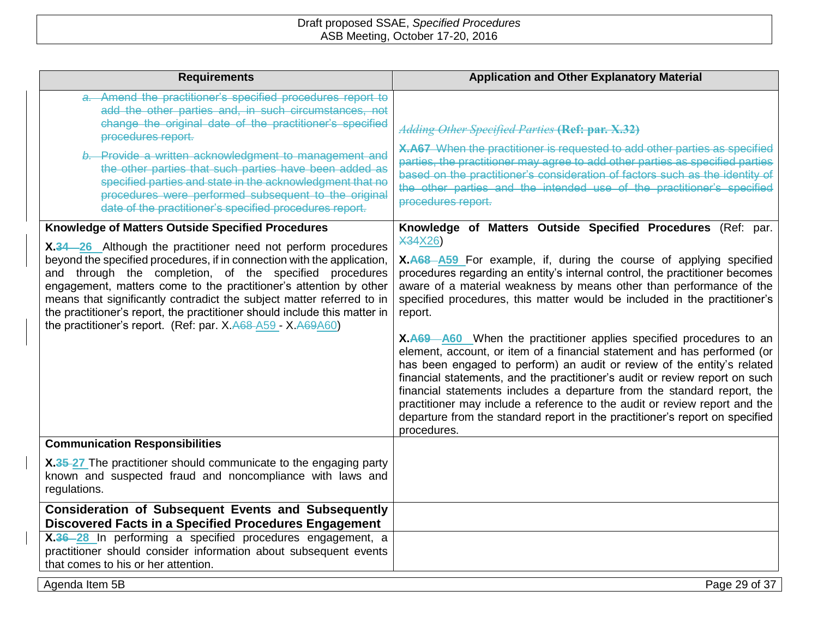| <b>Requirements</b>                                                                                                                                                                                                                                                                                                                                                                                                                                                                                                                                                                                                                                                                                                                                                                                                                                                                                                                                                                                                                                            | <b>Application and Other Explanatory Material</b>                                                                                                                                                                                                                                                                                                                                                                                                                                                                                                                                                                                                                                                                                                                                                                                                                                                                                                                                                                                                                                                                                                                                                                                                                                                                                                               |
|----------------------------------------------------------------------------------------------------------------------------------------------------------------------------------------------------------------------------------------------------------------------------------------------------------------------------------------------------------------------------------------------------------------------------------------------------------------------------------------------------------------------------------------------------------------------------------------------------------------------------------------------------------------------------------------------------------------------------------------------------------------------------------------------------------------------------------------------------------------------------------------------------------------------------------------------------------------------------------------------------------------------------------------------------------------|-----------------------------------------------------------------------------------------------------------------------------------------------------------------------------------------------------------------------------------------------------------------------------------------------------------------------------------------------------------------------------------------------------------------------------------------------------------------------------------------------------------------------------------------------------------------------------------------------------------------------------------------------------------------------------------------------------------------------------------------------------------------------------------------------------------------------------------------------------------------------------------------------------------------------------------------------------------------------------------------------------------------------------------------------------------------------------------------------------------------------------------------------------------------------------------------------------------------------------------------------------------------------------------------------------------------------------------------------------------------|
| a. Amend the practitioner's specified procedures report to<br>add the other parties and, in such circumstances, not<br>change the original date of the practitioner's specified<br>procedures report.<br>b. Provide a written acknowledgment to management and<br>the other parties that such parties have been added as<br>specified parties and state in the acknowledgment that no<br>procedures were performed subsequent to the original<br>date of the practitioner's specified procedures report.<br>Knowledge of Matters Outside Specified Procedures<br>X.34 26 Although the practitioner need not perform procedures<br>beyond the specified procedures, if in connection with the application,<br>and through the completion, of the specified procedures<br>engagement, matters come to the practitioner's attention by other<br>means that significantly contradict the subject matter referred to in<br>the practitioner's report, the practitioner should include this matter in<br>the practitioner's report. (Ref: par. X.A68-A59 - X.A69A60) | <b>Adding Other Specified Parties (Ref: par. X.32)</b><br><b>X.A67</b> When the practitioner is requested to add other parties as specified<br>parties, the practitioner may agree to add other parties as specified parties<br>based on the practitioner's consideration of factors such as the identity of<br>the other parties and the intended use of the practitioner's specified<br>procedures report.<br>Knowledge of Matters Outside Specified Procedures (Ref: par.<br>X34X26<br>X.468 A59 For example, if, during the course of applying specified<br>procedures regarding an entity's internal control, the practitioner becomes<br>aware of a material weakness by means other than performance of the<br>specified procedures, this matter would be included in the practitioner's<br>report.<br>X.469 A60 When the practitioner applies specified procedures to an<br>element, account, or item of a financial statement and has performed (or<br>has been engaged to perform) an audit or review of the entity's related<br>financial statements, and the practitioner's audit or review report on such<br>financial statements includes a departure from the standard report, the<br>practitioner may include a reference to the audit or review report and the<br>departure from the standard report in the practitioner's report on specified |
| <b>Communication Responsibilities</b>                                                                                                                                                                                                                                                                                                                                                                                                                                                                                                                                                                                                                                                                                                                                                                                                                                                                                                                                                                                                                          | procedures.                                                                                                                                                                                                                                                                                                                                                                                                                                                                                                                                                                                                                                                                                                                                                                                                                                                                                                                                                                                                                                                                                                                                                                                                                                                                                                                                                     |
| X.35-27 The practitioner should communicate to the engaging party<br>known and suspected fraud and noncompliance with laws and<br>regulations.                                                                                                                                                                                                                                                                                                                                                                                                                                                                                                                                                                                                                                                                                                                                                                                                                                                                                                                 |                                                                                                                                                                                                                                                                                                                                                                                                                                                                                                                                                                                                                                                                                                                                                                                                                                                                                                                                                                                                                                                                                                                                                                                                                                                                                                                                                                 |
| <b>Consideration of Subsequent Events and Subsequently</b><br>Discovered Facts in a Specified Procedures Engagement<br>X.36-28 In performing a specified procedures engagement, a                                                                                                                                                                                                                                                                                                                                                                                                                                                                                                                                                                                                                                                                                                                                                                                                                                                                              |                                                                                                                                                                                                                                                                                                                                                                                                                                                                                                                                                                                                                                                                                                                                                                                                                                                                                                                                                                                                                                                                                                                                                                                                                                                                                                                                                                 |
| practitioner should consider information about subsequent events<br>that comes to his or her attention.                                                                                                                                                                                                                                                                                                                                                                                                                                                                                                                                                                                                                                                                                                                                                                                                                                                                                                                                                        |                                                                                                                                                                                                                                                                                                                                                                                                                                                                                                                                                                                                                                                                                                                                                                                                                                                                                                                                                                                                                                                                                                                                                                                                                                                                                                                                                                 |
| Agenda Item 5B                                                                                                                                                                                                                                                                                                                                                                                                                                                                                                                                                                                                                                                                                                                                                                                                                                                                                                                                                                                                                                                 | Page 29 of 37                                                                                                                                                                                                                                                                                                                                                                                                                                                                                                                                                                                                                                                                                                                                                                                                                                                                                                                                                                                                                                                                                                                                                                                                                                                                                                                                                   |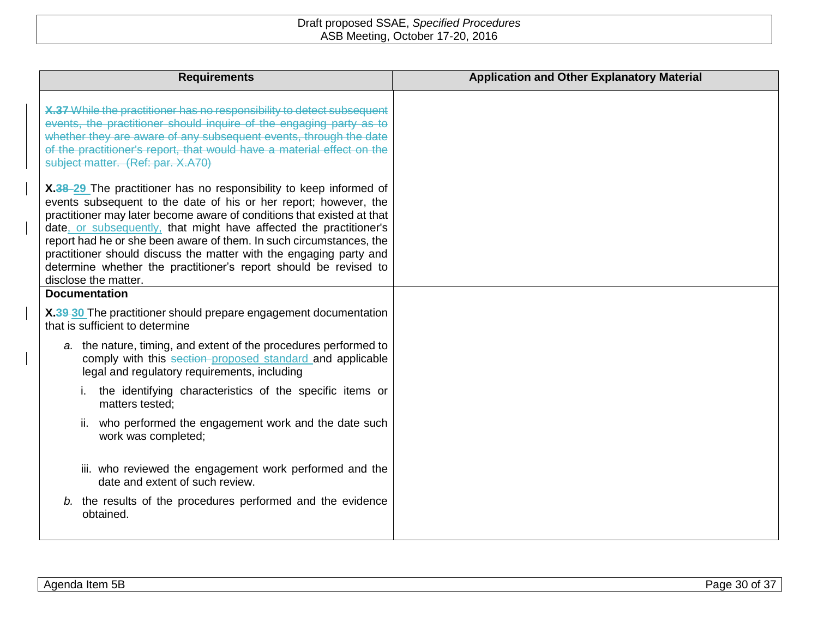| <b>Requirements</b>                                                                                                                                                                                                                                                                                                                                                                                                                                                                                                             | <b>Application and Other Explanatory Material</b> |
|---------------------------------------------------------------------------------------------------------------------------------------------------------------------------------------------------------------------------------------------------------------------------------------------------------------------------------------------------------------------------------------------------------------------------------------------------------------------------------------------------------------------------------|---------------------------------------------------|
| X.37 While the practitioner has no responsibility to detect subsequent<br>events, the practitioner should inquire of the engaging party as to<br>whether they are aware of any subsequent events, through the date<br>of the practitioner's report, that would have a material effect on the<br>subject matter. (Ref: par. X.A70)                                                                                                                                                                                               |                                                   |
| X.38-29 The practitioner has no responsibility to keep informed of<br>events subsequent to the date of his or her report; however, the<br>practitioner may later become aware of conditions that existed at that<br>date, or subsequently, that might have affected the practitioner's<br>report had he or she been aware of them. In such circumstances, the<br>practitioner should discuss the matter with the engaging party and<br>determine whether the practitioner's report should be revised to<br>disclose the matter. |                                                   |
| <b>Documentation</b>                                                                                                                                                                                                                                                                                                                                                                                                                                                                                                            |                                                   |
| X.39-30 The practitioner should prepare engagement documentation<br>that is sufficient to determine                                                                                                                                                                                                                                                                                                                                                                                                                             |                                                   |
| a. the nature, timing, and extent of the procedures performed to<br>comply with this section-proposed standard and applicable<br>legal and regulatory requirements, including                                                                                                                                                                                                                                                                                                                                                   |                                                   |
| the identifying characteristics of the specific items or<br>matters tested:                                                                                                                                                                                                                                                                                                                                                                                                                                                     |                                                   |
| who performed the engagement work and the date such<br>ii.<br>work was completed;                                                                                                                                                                                                                                                                                                                                                                                                                                               |                                                   |
| iii. who reviewed the engagement work performed and the<br>date and extent of such review.                                                                                                                                                                                                                                                                                                                                                                                                                                      |                                                   |
| b. the results of the procedures performed and the evidence<br>obtained.                                                                                                                                                                                                                                                                                                                                                                                                                                                        |                                                   |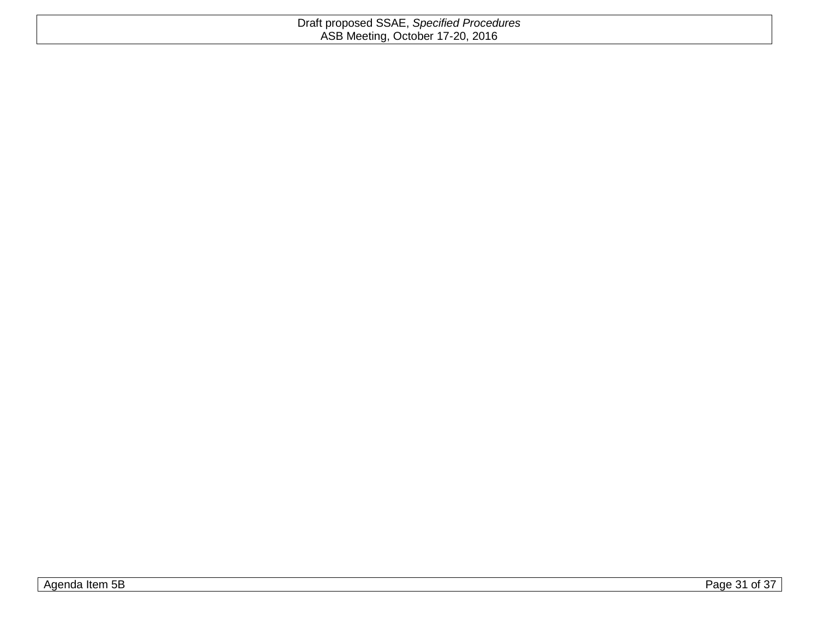| Draft proposed SSAE, Specified Procedures |  |
|-------------------------------------------|--|
| ASB Meeting, October 17-20, 2016          |  |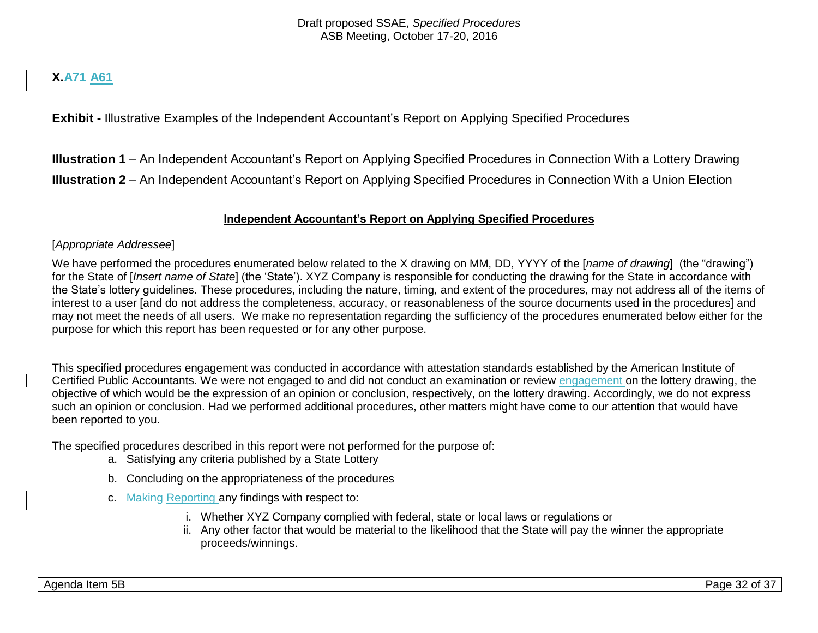# **X.A71 A61**

**Exhibit -** Illustrative Examples of the Independent Accountant's Report on Applying Specified Procedures

**Illustration 1** – An Independent Accountant's Report on Applying Specified Procedures in Connection With a Lottery Drawing **Illustration 2** – An Independent Accountant's Report on Applying Specified Procedures in Connection With a Union Election

# **Independent Accountant's Report on Applying Specified Procedures**

# [*Appropriate Addressee*]

We have performed the procedures enumerated below related to the X drawing on MM, DD, YYYY of the [*name of drawing*] (the "drawing") for the State of [*Insert name of State*] (the 'State'). XYZ Company is responsible for conducting the drawing for the State in accordance with the State's lottery guidelines. These procedures, including the nature, timing, and extent of the procedures, may not address all of the items of interest to a user [and do not address the completeness, accuracy, or reasonableness of the source documents used in the procedures] and may not meet the needs of all users. We make no representation regarding the sufficiency of the procedures enumerated below either for the purpose for which this report has been requested or for any other purpose.

This specified procedures engagement was conducted in accordance with attestation standards established by the American Institute of Certified Public Accountants. We were not engaged to and did not conduct an examination or review engagement on the lottery drawing, the objective of which would be the expression of an opinion or conclusion, respectively, on the lottery drawing. Accordingly, we do not express such an opinion or conclusion. Had we performed additional procedures, other matters might have come to our attention that would have been reported to you.

The specified procedures described in this report were not performed for the purpose of:

- a. Satisfying any criteria published by a State Lottery
- b. Concluding on the appropriateness of the procedures
- c. Making Reporting any findings with respect to:
	- i. Whether XYZ Company complied with federal, state or local laws or regulations or
	- ii. Any other factor that would be material to the likelihood that the State will pay the winner the appropriate proceeds/winnings.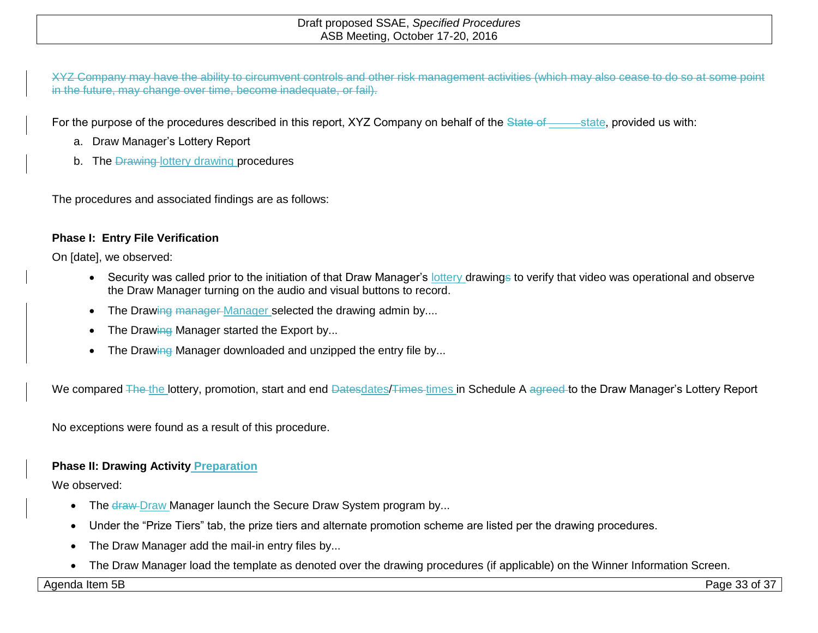XYZ Company may have the ability to circumvent controls and other risk management activities (which may also cease to do so at some point in the future, may change over time, become inadequate, or fail).

For the purpose of the procedures described in this report, XYZ Company on behalf of the State of state, provided us with:

- a. Draw Manager's Lottery Report
- b. The **Drawing-lottery drawing procedures**

The procedures and associated findings are as follows:

## **Phase I: Entry File Verification**

On [date], we observed:

- Security was called prior to the initiation of that Draw Manager's lottery drawings to verify that video was operational and observe the Draw Manager turning on the audio and visual buttons to record.
- The Drawing manager Manager selected the drawing admin by....
- The Drawing Manager started the Export by...
- The Drawing Manager downloaded and unzipped the entry file by...

We compared The the lottery, promotion, start and end Datesdates/Times times in Schedule A agreed to the Draw Manager's Lottery Report

No exceptions were found as a result of this procedure.

# **Phase II: Drawing Activity Preparation**

We observed:

- The draw-Draw Manager launch the Secure Draw System program by...
- Under the "Prize Tiers" tab, the prize tiers and alternate promotion scheme are listed per the drawing procedures.
- The Draw Manager add the mail-in entry files by...
- The Draw Manager load the template as denoted over the drawing procedures (if applicable) on the Winner Information Screen.

Agenda Item 5B Page 33 of 37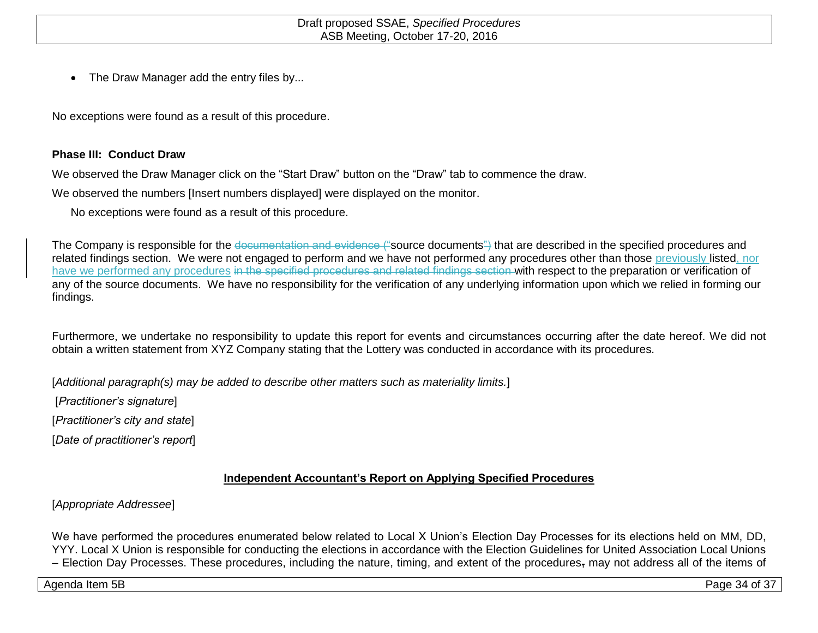• The Draw Manager add the entry files by...

No exceptions were found as a result of this procedure.

## **Phase III: Conduct Draw**

We observed the Draw Manager click on the "Start Draw" button on the "Draw" tab to commence the draw.

We observed the numbers [Insert numbers displayed] were displayed on the monitor.

No exceptions were found as a result of this procedure.

The Company is responsible for the documentation and evidence ("source documents") that are described in the specified procedures and related findings section. We were not engaged to perform and we have not performed any procedures other than those previously listed, nor have we performed any procedures in the specified procedures and related findings section with respect to the preparation or verification of any of the source documents. We have no responsibility for the verification of any underlying information upon which we relied in forming our findings.

Furthermore, we undertake no responsibility to update this report for events and circumstances occurring after the date hereof. We did not obtain a written statement from XYZ Company stating that the Lottery was conducted in accordance with its procedures.

[*Additional paragraph(s) may be added to describe other matters such as materiality limits.*]

[*Practitioner's signature*]

[*Practitioner's city and state*]

[*Date of practitioner's report*]

# **Independent Accountant's Report on Applying Specified Procedures**

#### [*Appropriate Addressee*]

We have performed the procedures enumerated below related to Local X Union's Election Day Processes for its elections held on MM, DD, YYY. Local X Union is responsible for conducting the elections in accordance with the Election Guidelines for United Association Local Unions – Election Day Processes. These procedures, including the nature, timing, and extent of the procedures, may not address all of the items of

Agenda Item 5B Page 34 of 37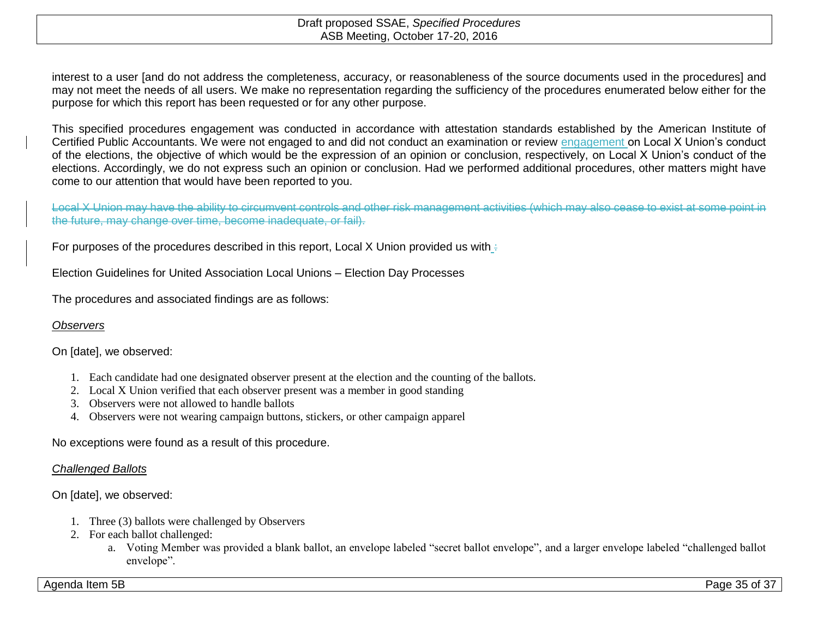interest to a user [and do not address the completeness, accuracy, or reasonableness of the source documents used in the procedures] and may not meet the needs of all users. We make no representation regarding the sufficiency of the procedures enumerated below either for the purpose for which this report has been requested or for any other purpose.

This specified procedures engagement was conducted in accordance with attestation standards established by the American Institute of Certified Public Accountants. We were not engaged to and did not conduct an examination or review engagement on Local X Union's conduct of the elections, the objective of which would be the expression of an opinion or conclusion, respectively, on Local X Union's conduct of the elections. Accordingly, we do not express such an opinion or conclusion. Had we performed additional procedures, other matters might have come to our attention that would have been reported to you.

Local X Union may have the ability to circumvent controls and other risk management activities (which may also cease to exist at some point in the future, may change over time, become inadequate, or fail).

For purposes of the procedures described in this report, Local X Union provided us with  $\div$ 

Election Guidelines for United Association Local Unions – Election Day Processes

The procedures and associated findings are as follows:

# *Observers*

On [date], we observed:

- 1. Each candidate had one designated observer present at the election and the counting of the ballots.
- 2. Local X Union verified that each observer present was a member in good standing
- 3. Observers were not allowed to handle ballots
- 4. Observers were not wearing campaign buttons, stickers, or other campaign apparel

No exceptions were found as a result of this procedure.

#### *Challenged Ballots*

# On [date], we observed:

- 1. Three (3) ballots were challenged by Observers
- 2. For each ballot challenged:
	- a. Voting Member was provided a blank ballot, an envelope labeled "secret ballot envelope", and a larger envelope labeled "challenged ballot envelope".

Agenda Item 5B Page 35 of 37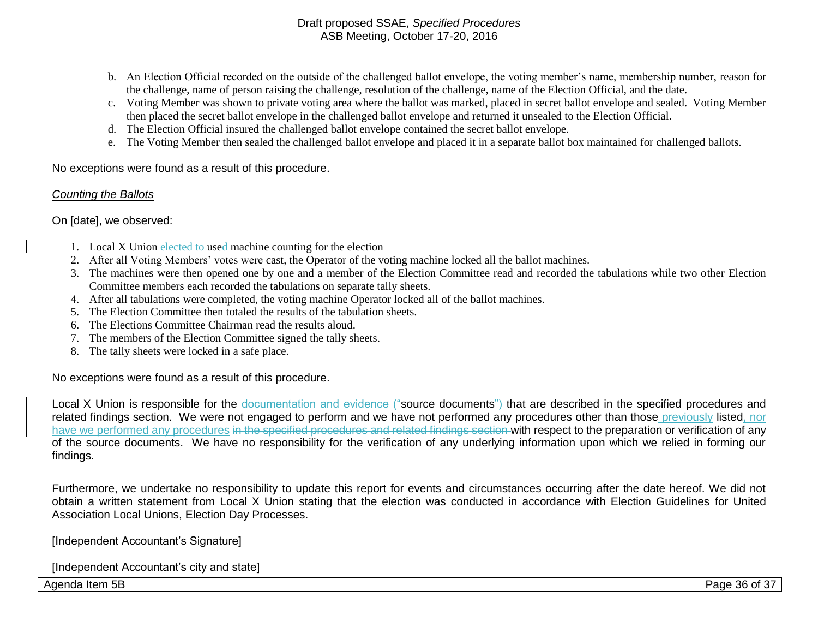- b. An Election Official recorded on the outside of the challenged ballot envelope, the voting member's name, membership number, reason for the challenge, name of person raising the challenge, resolution of the challenge, name of the Election Official, and the date.
- c. Voting Member was shown to private voting area where the ballot was marked, placed in secret ballot envelope and sealed. Voting Member then placed the secret ballot envelope in the challenged ballot envelope and returned it unsealed to the Election Official.
- d. The Election Official insured the challenged ballot envelope contained the secret ballot envelope.
- e. The Voting Member then sealed the challenged ballot envelope and placed it in a separate ballot box maintained for challenged ballots.

No exceptions were found as a result of this procedure.

#### *Counting the Ballots*

On [date], we observed:

- 1. Local X Union elected to used machine counting for the election
- 2. After all Voting Members' votes were cast, the Operator of the voting machine locked all the ballot machines.
- 3. The machines were then opened one by one and a member of the Election Committee read and recorded the tabulations while two other Election Committee members each recorded the tabulations on separate tally sheets.
- 4. After all tabulations were completed, the voting machine Operator locked all of the ballot machines.
- 5. The Election Committee then totaled the results of the tabulation sheets.
- 6. The Elections Committee Chairman read the results aloud.
- 7. The members of the Election Committee signed the tally sheets.
- 8. The tally sheets were locked in a safe place.

No exceptions were found as a result of this procedure.

Local X Union is responsible for the documentation and evidence ("source documents") that are described in the specified procedures and related findings section. We were not engaged to perform and we have not performed any procedures other than those previously listed, nor have we performed any procedures in the specified procedures and related findings section with respect to the preparation or verification of any of the source documents. We have no responsibility for the verification of any underlying information upon which we relied in forming our findings.

Furthermore, we undertake no responsibility to update this report for events and circumstances occurring after the date hereof. We did not obtain a written statement from Local X Union stating that the election was conducted in accordance with Election Guidelines for United Association Local Unions, Election Day Processes.

[Independent Accountant's Signature]

[Independent Accountant's city and state]

Agenda Item 5B Page 36 of 37